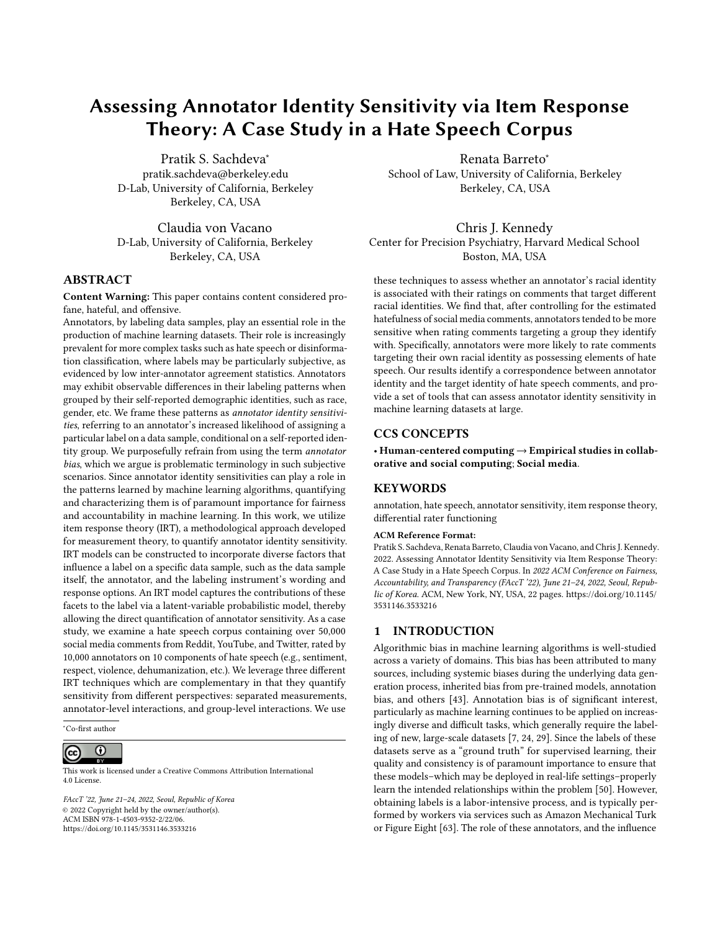# Assessing Annotator Identity Sensitivity via Item Response Theory: A Case Study in a Hate Speech Corpus

Pratik S. Sachdeva<sup>∗</sup> pratik.sachdeva@berkeley.edu D-Lab, University of California, Berkeley Berkeley, CA, USA

Claudia von Vacano D-Lab, University of California, Berkeley Berkeley, CA, USA

### ABSTRACT

Content Warning: This paper contains content considered profane, hateful, and offensive.

Annotators, by labeling data samples, play an essential role in the production of machine learning datasets. Their role is increasingly prevalent for more complex tasks such as hate speech or disinformation classification, where labels may be particularly subjective, as evidenced by low inter-annotator agreement statistics. Annotators may exhibit observable differences in their labeling patterns when grouped by their self-reported demographic identities, such as race, gender, etc. We frame these patterns as annotator identity sensitivities, referring to an annotator's increased likelihood of assigning a particular label on a data sample, conditional on a self-reported identity group. We purposefully refrain from using the term annotator bias, which we argue is problematic terminology in such subjective scenarios. Since annotator identity sensitivities can play a role in the patterns learned by machine learning algorithms, quantifying and characterizing them is of paramount importance for fairness and accountability in machine learning. In this work, we utilize item response theory (IRT), a methodological approach developed for measurement theory, to quantify annotator identity sensitivity. IRT models can be constructed to incorporate diverse factors that influence a label on a specific data sample, such as the data sample itself, the annotator, and the labeling instrument's wording and response options. An IRT model captures the contributions of these facets to the label via a latent-variable probabilistic model, thereby allowing the direct quantification of annotator sensitivity. As a case study, we examine a hate speech corpus containing over 50,000 social media comments from Reddit, YouTube, and Twitter, rated by 10,000 annotators on 10 components of hate speech (e.g., sentiment, respect, violence, dehumanization, etc.). We leverage three different IRT techniques which are complementary in that they quantify sensitivity from different perspectives: separated measurements, annotator-level interactions, and group-level interactions. We use

<sup>∗</sup>Co-first author

#### $\overline{\odot}$  $\left(\mathrm{cc}\right)$

This work is licensed under a [Creative Commons Attribution International](https://creativecommons.org/licenses/by/4.0/) [4.0 License.](https://creativecommons.org/licenses/by/4.0/)

FAccT '22, June 21–24, 2022, Seoul, Republic of Korea © 2022 Copyright held by the owner/author(s). ACM ISBN 978-1-4503-9352-2/22/06. <https://doi.org/10.1145/3531146.3533216>

Renata Barreto<sup>∗</sup> School of Law, University of California, Berkeley Berkeley, CA, USA

Chris J. Kennedy Center for Precision Psychiatry, Harvard Medical School Boston, MA, USA

these techniques to assess whether an annotator's racial identity is associated with their ratings on comments that target different racial identities. We find that, after controlling for the estimated hatefulness of social media comments, annotators tended to be more sensitive when rating comments targeting a group they identify with. Specifically, annotators were more likely to rate comments targeting their own racial identity as possessing elements of hate speech. Our results identify a correspondence between annotator identity and the target identity of hate speech comments, and provide a set of tools that can assess annotator identity sensitivity in machine learning datasets at large.

### CCS CONCEPTS

• Human-centered computing → Empirical studies in collaborative and social computing; Social media.

### KEYWORDS

annotation, hate speech, annotator sensitivity, item response theory, differential rater functioning

#### ACM Reference Format:

Pratik S. Sachdeva, Renata Barreto, Claudia von Vacano, and Chris J. Kennedy. 2022. Assessing Annotator Identity Sensitivity via Item Response Theory: A Case Study in a Hate Speech Corpus. In 2022 ACM Conference on Fairness, Accountability, and Transparency (FAccT '22), June 21–24, 2022, Seoul, Republic of Korea. ACM, New York, NY, USA, [22](#page-21-0) pages. [https://doi.org/10.1145/](https://doi.org/10.1145/3531146.3533216) [3531146.3533216](https://doi.org/10.1145/3531146.3533216)

# 1 INTRODUCTION

Algorithmic bias in machine learning algorithms is well-studied across a variety of domains. This bias has been attributed to many sources, including systemic biases during the underlying data generation process, inherited bias from pre-trained models, annotation bias, and others [\[43\]](#page-11-0). Annotation bias is of significant interest, particularly as machine learning continues to be applied on increasingly diverse and difficult tasks, which generally require the labeling of new, large-scale datasets [\[7,](#page-10-0) [24,](#page-11-1) [29\]](#page-11-2). Since the labels of these datasets serve as a "ground truth" for supervised learning, their quality and consistency is of paramount importance to ensure that these models–which may be deployed in real-life settings–properly learn the intended relationships within the problem [\[50\]](#page-11-3). However, obtaining labels is a labor-intensive process, and is typically performed by workers via services such as Amazon Mechanical Turk or Figure Eight [\[63\]](#page-11-4). The role of these annotators, and the influence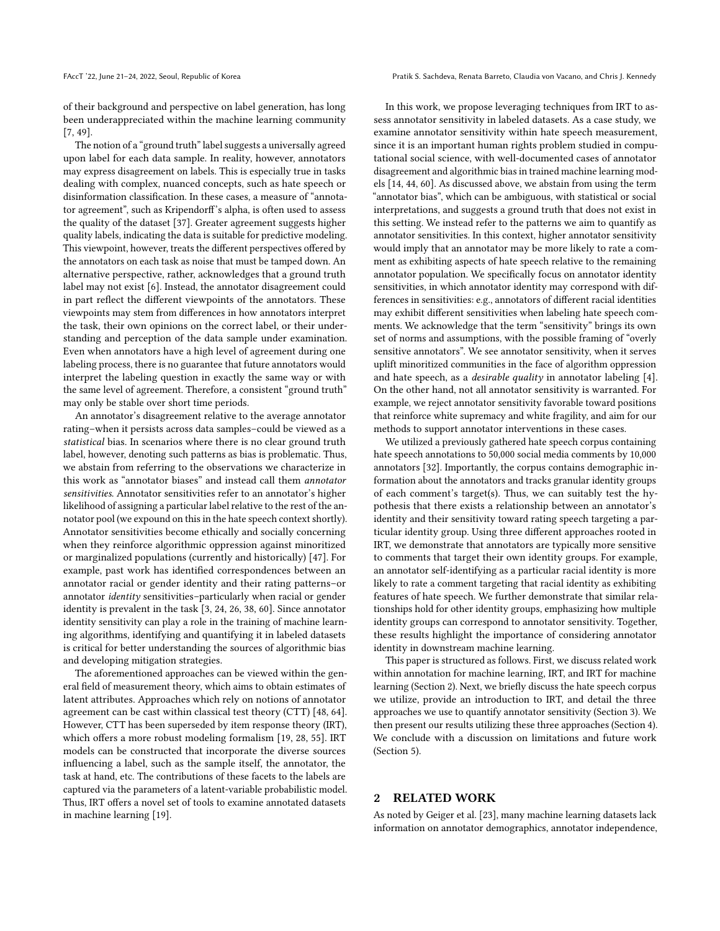of their background and perspective on label generation, has long been underappreciated within the machine learning community [\[7,](#page-10-0) [49\]](#page-11-5).

The notion of a "ground truth" label suggests a universally agreed upon label for each data sample. In reality, however, annotators may express disagreement on labels. This is especially true in tasks dealing with complex, nuanced concepts, such as hate speech or disinformation classification. In these cases, a measure of "annotator agreement", such as Kripendorff's alpha, is often used to assess the quality of the dataset [\[37\]](#page-11-6). Greater agreement suggests higher quality labels, indicating the data is suitable for predictive modeling. This viewpoint, however, treats the different perspectives offered by the annotators on each task as noise that must be tamped down. An alternative perspective, rather, acknowledges that a ground truth label may not exist [\[6\]](#page-10-1). Instead, the annotator disagreement could in part reflect the different viewpoints of the annotators. These viewpoints may stem from differences in how annotators interpret the task, their own opinions on the correct label, or their understanding and perception of the data sample under examination. Even when annotators have a high level of agreement during one labeling process, there is no guarantee that future annotators would interpret the labeling question in exactly the same way or with the same level of agreement. Therefore, a consistent "ground truth" may only be stable over short time periods.

An annotator's disagreement relative to the average annotator rating–when it persists across data samples–could be viewed as a statistical bias. In scenarios where there is no clear ground truth label, however, denoting such patterns as bias is problematic. Thus, we abstain from referring to the observations we characterize in this work as "annotator biases" and instead call them annotator sensitivities. Annotator sensitivities refer to an annotator's higher likelihood of assigning a particular label relative to the rest of the annotator pool (we expound on this in the hate speech context shortly). Annotator sensitivities become ethically and socially concerning when they reinforce algorithmic oppression against minoritized or marginalized populations (currently and historically) [\[47\]](#page-11-7). For example, past work has identified correspondences between an annotator racial or gender identity and their rating patterns–or annotator identity sensitivities–particularly when racial or gender identity is prevalent in the task [\[3,](#page-10-2) [24,](#page-11-1) [26,](#page-11-8) [38,](#page-11-9) [60\]](#page-11-10). Since annotator identity sensitivity can play a role in the training of machine learning algorithms, identifying and quantifying it in labeled datasets is critical for better understanding the sources of algorithmic bias and developing mitigation strategies.

The aforementioned approaches can be viewed within the general field of measurement theory, which aims to obtain estimates of latent attributes. Approaches which rely on notions of annotator agreement can be cast within classical test theory (CTT) [\[48,](#page-11-11) [64\]](#page-11-12). However, CTT has been superseded by item response theory (IRT), which offers a more robust modeling formalism [\[19,](#page-10-3) [28,](#page-11-13) [55\]](#page-11-14). IRT models can be constructed that incorporate the diverse sources influencing a label, such as the sample itself, the annotator, the task at hand, etc. The contributions of these facets to the labels are captured via the parameters of a latent-variable probabilistic model. Thus, IRT offers a novel set of tools to examine annotated datasets in machine learning [\[19\]](#page-10-3).

FAccT '22, June 21-24, 2022, Seoul, Republic of Korea Pratik S. Sachdeva, Renata Barreto, Claudia von Vacano, and Chris J. Kennedy

In this work, we propose leveraging techniques from IRT to assess annotator sensitivity in labeled datasets. As a case study, we examine annotator sensitivity within hate speech measurement, since it is an important human rights problem studied in computational social science, with well-documented cases of annotator disagreement and algorithmic bias in trained machine learning models [\[14,](#page-10-4) [44,](#page-11-15) [60\]](#page-11-10). As discussed above, we abstain from using the term "annotator bias", which can be ambiguous, with statistical or social interpretations, and suggests a ground truth that does not exist in this setting. We instead refer to the patterns we aim to quantify as annotator sensitivities. In this context, higher annotator sensitivity would imply that an annotator may be more likely to rate a comment as exhibiting aspects of hate speech relative to the remaining annotator population. We specifically focus on annotator identity sensitivities, in which annotator identity may correspond with differences in sensitivities: e.g., annotators of different racial identities may exhibit different sensitivities when labeling hate speech comments. We acknowledge that the term "sensitivity" brings its own set of norms and assumptions, with the possible framing of "overly sensitive annotators". We see annotator sensitivity, when it serves uplift minoritized communities in the face of algorithm oppression and hate speech, as a desirable quality in annotator labeling [\[4\]](#page-10-5). On the other hand, not all annotator sensitivity is warranted. For example, we reject annotator sensitivity favorable toward positions that reinforce white supremacy and white fragility, and aim for our methods to support annotator interventions in these cases.

We utilized a previously gathered hate speech corpus containing hate speech annotations to 50,000 social media comments by 10,000 annotators [\[32\]](#page-11-16). Importantly, the corpus contains demographic information about the annotators and tracks granular identity groups of each comment's target(s). Thus, we can suitably test the hypothesis that there exists a relationship between an annotator's identity and their sensitivity toward rating speech targeting a particular identity group. Using three different approaches rooted in IRT, we demonstrate that annotators are typically more sensitive to comments that target their own identity groups. For example, an annotator self-identifying as a particular racial identity is more likely to rate a comment targeting that racial identity as exhibiting features of hate speech. We further demonstrate that similar relationships hold for other identity groups, emphasizing how multiple identity groups can correspond to annotator sensitivity. Together, these results highlight the importance of considering annotator identity in downstream machine learning.

This paper is structured as follows. First, we discuss related work within annotation for machine learning, IRT, and IRT for machine learning (Section [2\)](#page-1-0). Next, we briefly discuss the hate speech corpus we utilize, provide an introduction to IRT, and detail the three approaches we use to quantify annotator sensitivity (Section [3\)](#page-2-0). We then present our results utilizing these three approaches (Section [4\)](#page-4-0). We conclude with a discussion on limitations and future work (Section [5\)](#page-9-0).

### <span id="page-1-0"></span>2 RELATED WORK

As noted by Geiger et al. [\[23\]](#page-11-17), many machine learning datasets lack information on annotator demographics, annotator independence,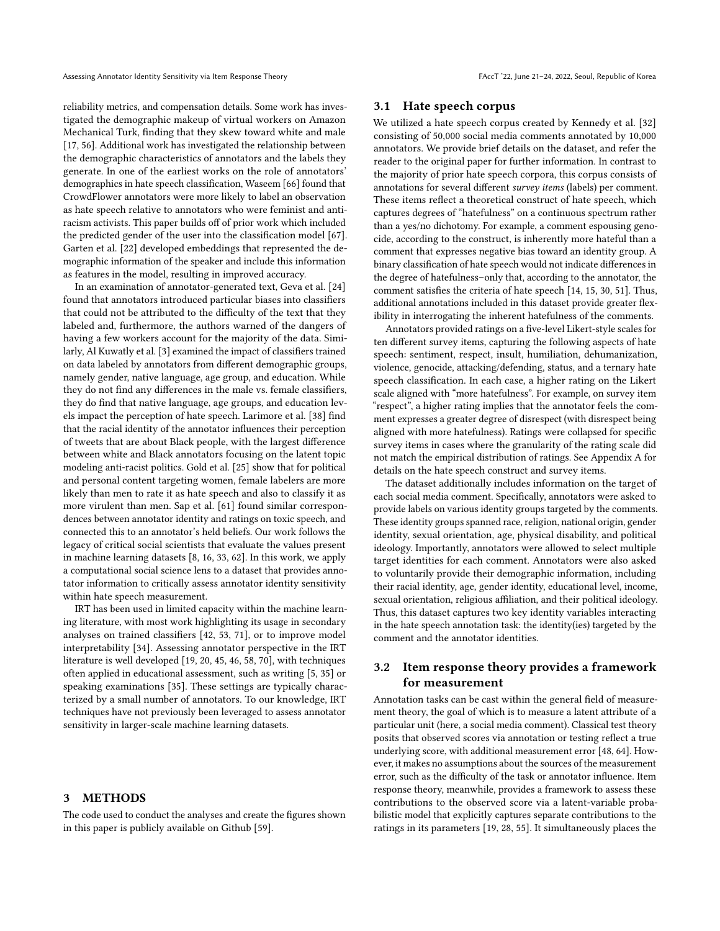reliability metrics, and compensation details. Some work has investigated the demographic makeup of virtual workers on Amazon Mechanical Turk, finding that they skew toward white and male [\[17,](#page-10-6) [56\]](#page-11-18). Additional work has investigated the relationship between the demographic characteristics of annotators and the labels they generate. In one of the earliest works on the role of annotators' demographics in hate speech classification, Waseem [\[66\]](#page-11-19) found that CrowdFlower annotators were more likely to label an observation as hate speech relative to annotators who were feminist and antiracism activists. This paper builds off of prior work which included the predicted gender of the user into the classification model [\[67\]](#page-11-20). Garten et al. [\[22\]](#page-10-7) developed embeddings that represented the demographic information of the speaker and include this information as features in the model, resulting in improved accuracy.

In an examination of annotator-generated text, Geva et al. [\[24\]](#page-11-1) found that annotators introduced particular biases into classifiers that could not be attributed to the difficulty of the text that they labeled and, furthermore, the authors warned of the dangers of having a few workers account for the majority of the data. Similarly, Al Kuwatly et al. [\[3\]](#page-10-2) examined the impact of classifiers trained on data labeled by annotators from different demographic groups, namely gender, native language, age group, and education. While they do not find any differences in the male vs. female classifiers, they do find that native language, age groups, and education levels impact the perception of hate speech. Larimore et al. [\[38\]](#page-11-9) find that the racial identity of the annotator influences their perception of tweets that are about Black people, with the largest difference between white and Black annotators focusing on the latent topic modeling anti-racist politics. Gold et al. [\[25\]](#page-11-21) show that for political and personal content targeting women, female labelers are more likely than men to rate it as hate speech and also to classify it as more virulent than men. Sap et al. [\[61\]](#page-11-22) found similar correspondences between annotator identity and ratings on toxic speech, and connected this to an annotator's held beliefs. Our work follows the legacy of critical social scientists that evaluate the values present in machine learning datasets [\[8,](#page-10-8) [16,](#page-10-9) [33,](#page-11-23) [62\]](#page-11-24). In this work, we apply a computational social science lens to a dataset that provides annotator information to critically assess annotator identity sensitivity within hate speech measurement.

IRT has been used in limited capacity within the machine learning literature, with most work highlighting its usage in secondary analyses on trained classifiers [\[42,](#page-11-25) [53,](#page-11-26) [71\]](#page-11-27), or to improve model interpretability [\[34\]](#page-11-28). Assessing annotator perspective in the IRT literature is well developed [\[19,](#page-10-3) [20,](#page-10-10) [45,](#page-11-29) [46,](#page-11-30) [58,](#page-11-31) [70\]](#page-11-32), with techniques often applied in educational assessment, such as writing [\[5,](#page-10-11) [35\]](#page-11-33) or speaking examinations [\[35\]](#page-11-33). These settings are typically characterized by a small number of annotators. To our knowledge, IRT techniques have not previously been leveraged to assess annotator sensitivity in larger-scale machine learning datasets.

### <span id="page-2-0"></span>3 METHODS

The code used to conduct the analyses and create the figures shown in this paper is publicly available on Github [\[59\]](#page-11-34).

#### <span id="page-2-1"></span>3.1 Hate speech corpus

We utilized a hate speech corpus created by Kennedy et al. [\[32\]](#page-11-16) consisting of 50,000 social media comments annotated by 10,000 annotators. We provide brief details on the dataset, and refer the reader to the original paper for further information. In contrast to the majority of prior hate speech corpora, this corpus consists of annotations for several different survey items (labels) per comment. These items reflect a theoretical construct of hate speech, which captures degrees of "hatefulness" on a continuous spectrum rather than a yes/no dichotomy. For example, a comment espousing genocide, according to the construct, is inherently more hateful than a comment that expresses negative bias toward an identity group. A binary classification of hate speech would not indicate differences in the degree of hatefulness–only that, according to the annotator, the comment satisfies the criteria of hate speech [\[14,](#page-10-4) [15,](#page-10-12) [30,](#page-11-35) [51\]](#page-11-36). Thus, additional annotations included in this dataset provide greater flexibility in interrogating the inherent hatefulness of the comments.

Annotators provided ratings on a five-level Likert-style scales for ten different survey items, capturing the following aspects of hate speech: sentiment, respect, insult, humiliation, dehumanization, violence, genocide, attacking/defending, status, and a ternary hate speech classification. In each case, a higher rating on the Likert scale aligned with "more hatefulness". For example, on survey item "respect", a higher rating implies that the annotator feels the comment expresses a greater degree of disrespect (with disrespect being aligned with more hatefulness). Ratings were collapsed for specific survey items in cases where the granularity of the rating scale did not match the empirical distribution of ratings. See Appendix [A](#page-12-0) for details on the hate speech construct and survey items.

The dataset additionally includes information on the target of each social media comment. Specifically, annotators were asked to provide labels on various identity groups targeted by the comments. These identity groups spanned race, religion, national origin, gender identity, sexual orientation, age, physical disability, and political ideology. Importantly, annotators were allowed to select multiple target identities for each comment. Annotators were also asked to voluntarily provide their demographic information, including their racial identity, age, gender identity, educational level, income, sexual orientation, religious affiliation, and their political ideology. Thus, this dataset captures two key identity variables interacting in the hate speech annotation task: the identity(ies) targeted by the comment and the annotator identities.

# 3.2 Item response theory provides a framework for measurement

Annotation tasks can be cast within the general field of measurement theory, the goal of which is to measure a latent attribute of a particular unit (here, a social media comment). Classical test theory posits that observed scores via annotation or testing reflect a true underlying score, with additional measurement error [\[48,](#page-11-11) [64\]](#page-11-12). However, it makes no assumptions about the sources of the measurement error, such as the difficulty of the task or annotator influence. Item response theory, meanwhile, provides a framework to assess these contributions to the observed score via a latent-variable probabilistic model that explicitly captures separate contributions to the ratings in its parameters [\[19,](#page-10-3) [28,](#page-11-13) [55\]](#page-11-14). It simultaneously places the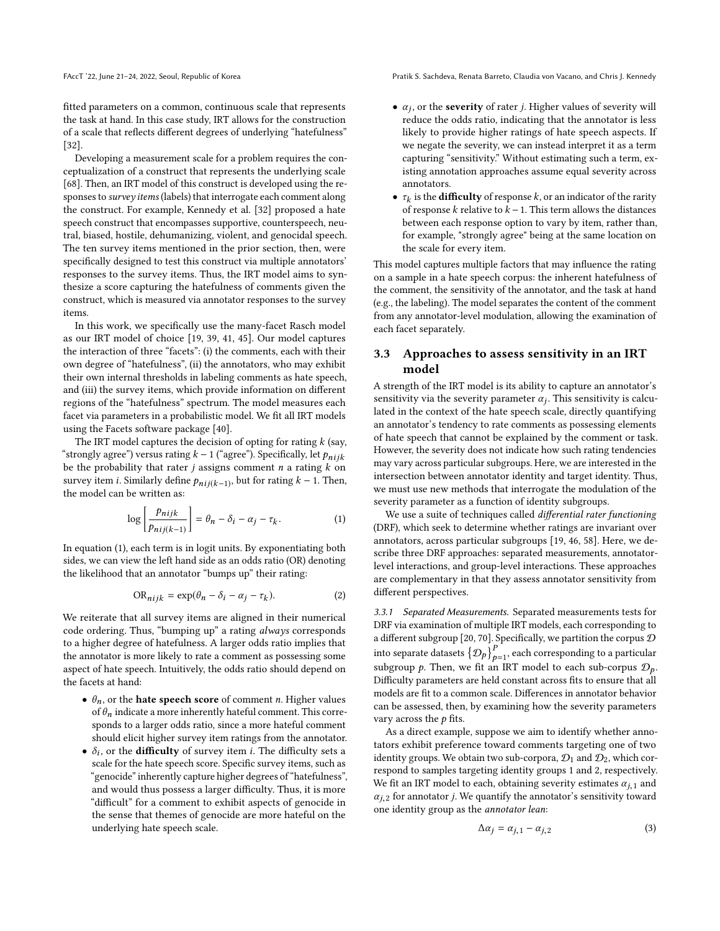FAccT '22, June 21-24, 2022, Seoul, Republic of Korea Pratik S. Sachdeva, Renata Barreto, Claudia von Vacano, and Chris J. Kennedy

fitted parameters on a common, continuous scale that represents the task at hand. In this case study, IRT allows for the construction of a scale that reflects different degrees of underlying "hatefulness" [\[32\]](#page-11-16).

Developing a measurement scale for a problem requires the conceptualization of a construct that represents the underlying scale [\[68\]](#page-11-37). Then, an IRT model of this construct is developed using the responses to survey items (labels) that interrogate each comment along the construct. For example, Kennedy et al. [\[32\]](#page-11-16) proposed a hate speech construct that encompasses supportive, counterspeech, neutral, biased, hostile, dehumanizing, violent, and genocidal speech. The ten survey items mentioned in the prior section, then, were specifically designed to test this construct via multiple annotators' responses to the survey items. Thus, the IRT model aims to synthesize a score capturing the hatefulness of comments given the construct, which is measured via annotator responses to the survey items.

In this work, we specifically use the many-facet Rasch model as our IRT model of choice [\[19,](#page-10-3) [39,](#page-11-38) [41,](#page-11-39) [45\]](#page-11-29). Our model captures the interaction of three "facets": (i) the comments, each with their own degree of "hatefulness", (ii) the annotators, who may exhibit their own internal thresholds in labeling comments as hate speech, and (iii) the survey items, which provide information on different regions of the "hatefulness" spectrum. The model measures each facet via parameters in a probabilistic model. We fit all IRT models using the Facets software package [\[40\]](#page-11-40).

The IRT model captures the decision of opting for rating  $k$  (say, "strongly agree") versus rating  $k - 1$  ("agree"). Specifically, let  $p_{nijk}$ be the probability that rater  $j$  assigns comment  $n$  a rating  $k$  on survey item *i*. Similarly define  $p_{nij(k-1)}$ , but for rating  $k - 1$ . Then, the model can be written as: the model can be written as:

$$
\log\left[\frac{p_{nijk}}{p_{nij(k-1)}}\right] = \theta_n - \delta_i - \alpha_j - \tau_k. \tag{1}
$$

In equation [\(1\)](#page-3-0), each term is in logit units. By exponentiating both sides, we can view the left hand side as an odds ratio (OR) denoting the likelihood that an annotator "bumps up" their rating:

$$
OR_{nijk} = \exp(\theta_n - \delta_i - \alpha_j - \tau_k). \tag{2}
$$

We reiterate that all survey items are aligned in their numerical code ordering. Thus, "bumping up" a rating always corresponds to a higher degree of hatefulness. A larger odds ratio implies that the annotator is more likely to rate a comment as possessing some aspect of hate speech. Intuitively, the odds ratio should depend on the facets at hand:

- $\theta_n$ , or the **hate speech score** of comment *n*. Higher values of  $\theta_n$  indicate a more inherently hateful comment. This corresponds to a larger odds ratio, since a more hateful comment should elicit higher survey item ratings from the annotator.
- $\delta_i$ , or the **difficulty** of survey item *i*. The difficulty sets a scale for the hate speech score. Specific survey items such as scale for the hate speech score. Specific survey items, such as "genocide" inherently capture higher degrees of "hatefulness", and would thus possess a larger difficulty. Thus, it is more "difficult" for a comment to exhibit aspects of genocide in the sense that themes of genocide are more hateful on the underlying hate speech scale.
- $\alpha_j$ , or the **severity** of rater *j*. Higher values of severity will reduce the odds ratio indicating that the annotator is less reduce the odds ratio, indicating that the annotator is less likely to provide higher ratings of hate speech aspects. If we negate the severity, we can instead interpret it as a term capturing "sensitivity." Without estimating such a term, existing annotation approaches assume equal severity across annotators.
- $\tau_k$  is the **difficulty** of response k, or an indicator of the rarity<br>of response k relative to  $k-1$ . This term allows the distances of response  $k$  relative to  $k - 1$ . This term allows the distances between each response option to vary by item, rather than, for example, "strongly agree" being at the same location on the scale for every item.

This model captures multiple factors that may influence the rating on a sample in a hate speech corpus: the inherent hatefulness of the comment, the sensitivity of the annotator, and the task at hand (e.g., the labeling). The model separates the content of the comment from any annotator-level modulation, allowing the examination of each facet separately.

### 3.3 Approaches to assess sensitivity in an IRT model

A strength of the IRT model is its ability to capture an annotator's sensitivity via the severity parameter  $\alpha_j$ . This sensitivity is calcu-<br>lated in the context of the bate speech scale, directly quantifying lated in the context of the hate speech scale, directly quantifying an annotator's tendency to rate comments as possessing elements of hate speech that cannot be explained by the comment or task. However, the severity does not indicate how such rating tendencies may vary across particular subgroups. Here, we are interested in the intersection between annotator identity and target identity. Thus, we must use new methods that interrogate the modulation of the severity parameter as a function of identity subgroups.

<span id="page-3-0"></span>We use a suite of techniques called *differential rater functioning* (DRF), which seek to determine whether ratings are invariant over annotators, across particular subgroups [\[19,](#page-10-3) [46,](#page-11-30) [58\]](#page-11-31). Here, we describe three DRF approaches: separated measurements, annotatorlevel interactions, and group-level interactions. These approaches are complementary in that they assess annotator sensitivity from different perspectives.

<span id="page-3-2"></span><span id="page-3-1"></span>3.3.1 Separated Measurements. Separated measurements tests for DRF via examination of multiple IRT models, each corresponding to a different subgroup [\[20,](#page-10-10) [70\]](#page-11-32). Specifically, we partition the corpus  ${\cal D}$ into separate datasets  $\left\{ \mathcal{D}_{p}\right\} _{p=1}^{P},$  each corresponding to a particular subgroup p. Then, we fit an IRT model to each sub-corpus  $\mathcal{D}_p$ . Difficulty parameters are held constant across fits to ensure that all models are fit to a common scale. Differences in annotator behavior can be assessed, then, by examining how the severity parameters vary across the  $p$  fits.

As a direct example, suppose we aim to identify whether annotators exhibit preference toward comments targeting one of two identity groups. We obtain two sub-corpora,  $\mathcal{D}_1$  and  $\mathcal{D}_2$ , which correspond to samples targeting identity groups 1 and 2, respectively. We fit an IRT model to each, obtaining severity estimates  $\alpha_{j,1}$  and  $\alpha_{i,2}$  for annotator *j*. We quantify the annotator's sensitivity toward one identity group as the annotator lean:

$$
\Delta \alpha_j = \alpha_{j,1} - \alpha_{j,2} \tag{3}
$$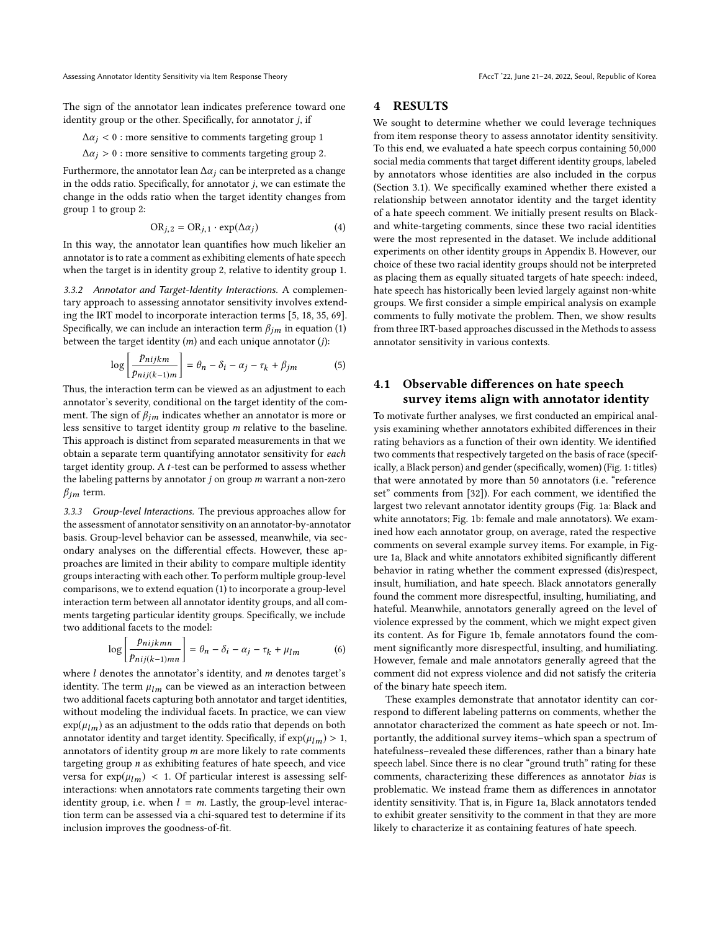The sign of the annotator lean indicates preference toward one identity group or the other. Specifically, for annotator  $j,$  if  $\Delta\alpha_i<0$  : more sensitive to comments targeting group

$$
\Delta \alpha_j < 0 \text{ : more sensitive to comments targeting group 1}
$$

 $\Delta \alpha_j > 0$  : more sensitive to comments targeting group 2.

Furthermore, the annotator lean  $\Delta \alpha_i$  can be interpreted as a change in the odds ratio. Specifically, for annotator j, we can estimate the change in the odds ratio when the target identity changes from group 1 to group 2:

$$
OR_{j,2} = OR_{j,1} \cdot \exp(\Delta \alpha_j)
$$
 (4)

In this way, the annotator lean quantifies how much likelier an annotator is to rate a comment as exhibiting elements of hate speech when the target is in identity group 2, relative to identity group 1.

<span id="page-4-1"></span>3.3.2 Annotator and Target-Identity Interactions. A complementary approach to assessing annotator sensitivity involves extending the IRT model to incorporate interaction terms [\[5,](#page-10-11) [18,](#page-10-13) [35,](#page-11-33) [69\]](#page-11-41). Specifically, we can include an interaction term  $\beta_{im}$  in equation [\(1\)](#page-3-0) between the target identity  $(m)$  and each unique annotator  $(j)$ :

$$
\log\left[\frac{p_{nijkm}}{p_{nij(k-1)m}}\right] = \theta_n - \delta_i - \alpha_j - \tau_k + \beta_{jm} \tag{5}
$$

 $\lceil \text{Pni}_{j(k-1)m} \rceil$ <br>Thus, the interaction term can be viewed as an adjustment to each annotator's severity, conditional on the target identity of the comment. The sign of  $\beta_{im}$  indicates whether an annotator is more or less sensitive to target identity group m relative to the baseline. This approach is distinct from separated measurements in that we obtain a separate term quantifying annotator sensitivity for each target identity group. A t-test can be performed to assess whether the labeling patterns by annotator  $j$  on group  $m$  warrant a non-zero  $\beta_{im}$  term.

<span id="page-4-3"></span>3.3.3 Group-level Interactions. The previous approaches allow for the assessment of annotator sensitivity on an annotator-by-annotator basis. Group-level behavior can be assessed, meanwhile, via secondary analyses on the differential effects. However, these approaches are limited in their ability to compare multiple identity groups interacting with each other. To perform multiple group-level comparisons, we to extend equation [\(1\)](#page-3-0) to incorporate a group-level interaction term between all annotator identity groups, and all comments targeting particular identity groups. Specifically, we include two additional facets to the model:

$$
\log \left[ \frac{p_{nijkmn}}{p_{nij(k-1)mn}} \right] = \theta_n - \delta_i - \alpha_j - \tau_k + \mu_{lm} \tag{6}
$$

where  $l$  denotes the annotator's identity, and  $m$  denotes target's identity. The term  $\mu_{lm}$  can be viewed as an interaction between two additional facets capturing both annotator and target identities, without modeling the individual facets. In practice, we can view  $\exp(\mu_{lm})$  as an adjustment to the odds ratio that depends on both annotator identity and target identity. Specifically, if  $\exp(\mu_{lm}) > 1$ , annotators of identity group  $m$  are more likely to rate comments targeting group  $n$  as exhibiting features of hate speech, and vice versa for  $\exp(\mu_{lm})$  < 1. Of particular interest is assessing selfinteractions: when annotators rate comments targeting their own identity group, i.e. when  $l = m$ . Lastly, the group-level interaction term can be assessed via a chi-squared test to determine if its inclusion improves the goodness-of-fit.

# <span id="page-4-0"></span>4 RESULTS

We sought to determine whether we could leverage techniques from item response theory to assess annotator identity sensitivity. To this end, we evaluated a hate speech corpus containing 50,000 social media comments that target different identity groups, labeled by annotators whose identities are also included in the corpus (Section [3.1\)](#page-2-1). We specifically examined whether there existed a relationship between annotator identity and the target identity of a hate speech comment. We initially present results on Blackand white-targeting comments, since these two racial identities were the most represented in the dataset. We include additional experiments on other identity groups in Appendix [B.](#page-15-0) However, our choice of these two racial identity groups should not be interpreted as placing them as equally situated targets of hate speech: indeed, hate speech has historically been levied largely against non-white groups. We first consider a simple empirical analysis on example comments to fully motivate the problem. Then, we show results from three IRT-based approaches discussed in the Methods to assess annotator sensitivity in various contexts.

# <span id="page-4-2"></span>4.1 Observable differences on hate speech survey items align with annotator identity

To motivate further analyses, we first conducted an empirical analysis examining whether annotators exhibited differences in their rating behaviors as a function of their own identity. We identified two comments that respectively targeted on the basis of race (specifically, a Black person) and gender (specifically, women) (Fig. [1:](#page-5-0) titles) that were annotated by more than 50 annotators (i.e. "reference set" comments from [\[32\]](#page-11-16)). For each comment, we identified the largest two relevant annotator identity groups (Fig. [1a](#page-5-0): Black and white annotators; Fig. [1b](#page-5-0): female and male annotators). We examined how each annotator group, on average, rated the respective comments on several example survey items. For example, in Figure [1a](#page-5-0), Black and white annotators exhibited significantly different behavior in rating whether the comment expressed (dis)respect, insult, humiliation, and hate speech. Black annotators generally found the comment more disrespectful, insulting, humiliating, and hateful. Meanwhile, annotators generally agreed on the level of violence expressed by the comment, which we might expect given its content. As for Figure [1b](#page-5-0), female annotators found the comment significantly more disrespectful, insulting, and humiliating. However, female and male annotators generally agreed that the comment did not express violence and did not satisfy the criteria of the binary hate speech item.

These examples demonstrate that annotator identity can correspond to different labeling patterns on comments, whether the annotator characterized the comment as hate speech or not. Importantly, the additional survey items–which span a spectrum of hatefulness–revealed these differences, rather than a binary hate speech label. Since there is no clear "ground truth" rating for these comments, characterizing these differences as annotator bias is problematic. We instead frame them as differences in annotator identity sensitivity. That is, in Figure [1a](#page-5-0), Black annotators tended to exhibit greater sensitivity to the comment in that they are more likely to characterize it as containing features of hate speech.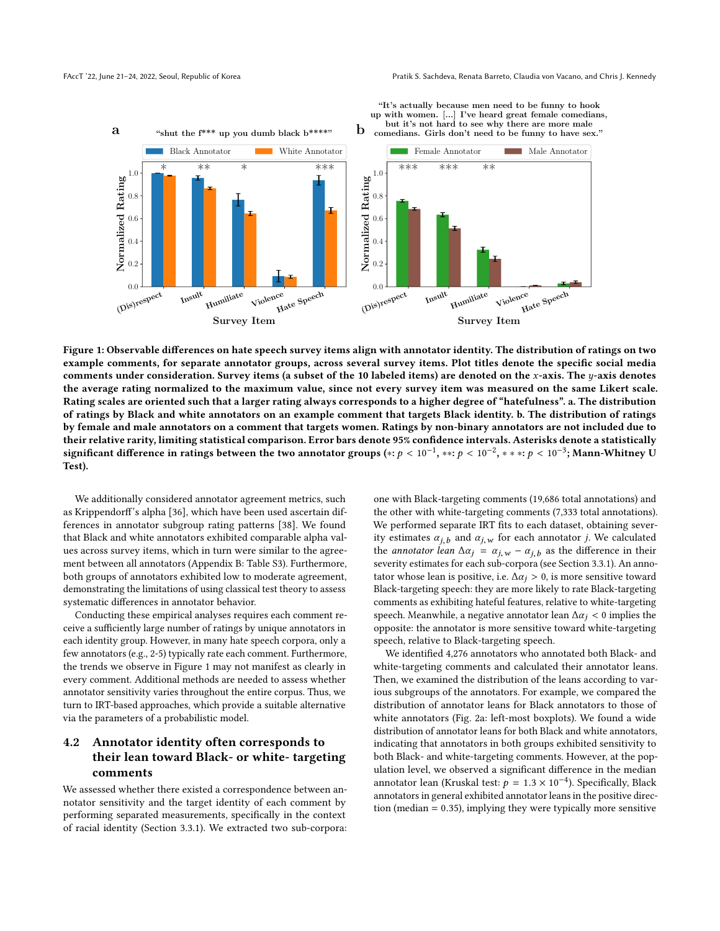"It's actually because men need to be funny to hook

<span id="page-5-0"></span>

Figure 1: Observable differences on hate speech survey items align with annotator identity. The distribution of ratings on two example comments, for separate annotator groups, across several survey items. Plot titles denote the specific social media comments under consideration. Survey items (a subset of the 10 labeled items) are denoted on the x-axis. The  $y$ -axis denotes the average rating normalized to the maximum value, since not every survey item was measured on the same Likert scale. Rating scales are oriented such that a larger rating always corresponds to a higher degree of "hatefulness". a. The distribution of ratings by Black and white annotators on an example comment that targets Black identity. b. The distribution of ratings by female and male annotators on a comment that targets women. Ratings by non-binary annotators are not included due to their relative rarity, limiting statistical comparison. Error bars denote 95% confidence intervals. Asterisks denote a statistically significant difference in ratings between the two annotator groups (\*:  $p < 10^{-1}$ , \*\*:  $p < 10^{-2}$ , \* \* \*:  $p < 10^{-3}$ ; Mann-Whitney U Test).

We additionally considered annotator agreement metrics, such as Krippendorff's alpha [\[36\]](#page-11-42), which have been used ascertain differences in annotator subgroup rating patterns [\[38\]](#page-11-9). We found that Black and white annotators exhibited comparable alpha values across survey items, which in turn were similar to the agreement between all annotators (Appendix [B:](#page-15-0) Table [S3\)](#page-16-0). Furthermore, both groups of annotators exhibited low to moderate agreement, demonstrating the limitations of using classical test theory to assess systematic differences in annotator behavior.

Conducting these empirical analyses requires each comment receive a sufficiently large number of ratings by unique annotators in each identity group. However, in many hate speech corpora, only a few annotators (e.g., 2-5) typically rate each comment. Furthermore, the trends we observe in Figure [1](#page-5-0) may not manifest as clearly in every comment. Additional methods are needed to assess whether annotator sensitivity varies throughout the entire corpus. Thus, we turn to IRT-based approaches, which provide a suitable alternative via the parameters of a probabilistic model.

# 4.2 Annotator identity often corresponds to their lean toward Black- or white- targeting comments

We assessed whether there existed a correspondence between annotator sensitivity and the target identity of each comment by performing separated measurements, specifically in the context of racial identity (Section [3.3.1\)](#page-3-1). We extracted two sub-corpora:

one with Black-targeting comments (19,686 total annotations) and the other with white-targeting comments (7,333 total annotations). We performed separate IRT fits to each dataset, obtaining severity estimates  $\alpha_{i,b}$  and  $\alpha_{j,w}$  for each annotator j. We calculated the *annotator lean*  $\Delta \alpha_j = \alpha_{j,w} - \alpha_{j,b}$  as the difference in their severity estimates for each sub-corpora (see Section [3.3.1\)](#page-3-1). An annotator whose lean is positive, i.e.  $\Delta \alpha_j > 0$ , is more sensitive toward Black-targeting speech: they are more likely to rate Black-targeting comments as exhibiting hateful features, relative to white-targeting speech. Meanwhile, a negative annotator lean  $\Delta \alpha_i < 0$  implies the opposite: the annotator is more sensitive toward white-targeting speech, relative to Black-targeting speech.

We identified 4,276 annotators who annotated both Black- and white-targeting comments and calculated their annotator leans. Then, we examined the distribution of the leans according to various subgroups of the annotators. For example, we compared the distribution of annotator leans for Black annotators to those of white annotators (Fig. [2a](#page-7-0): left-most boxplots). We found a wide distribution of annotator leans for both Black and white annotators, indicating that annotators in both groups exhibited sensitivity to both Black- and white-targeting comments. However, at the population level, we observed a significant difference in the median annotator lean (Kruskal test:  $p = 1.3 \times 10^{-4}$ ). Specifically, Black<br>annotators in general exhibited annotator leans in the positive direcannotators in general exhibited annotator leans in the positive direction (median <sup>=</sup> <sup>0</sup>.35), implying they were typically more sensitive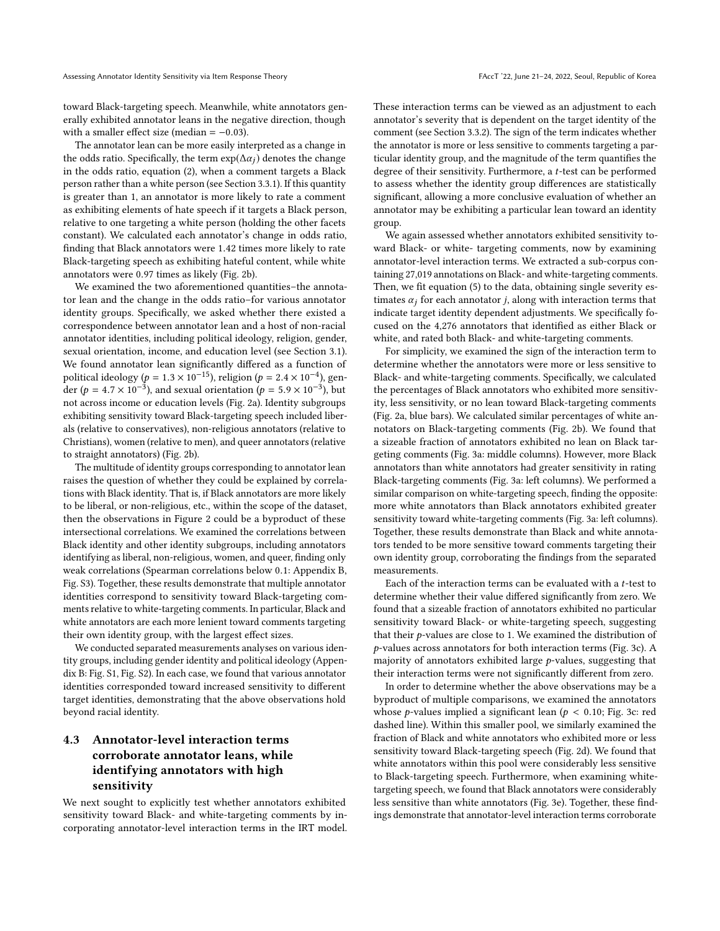toward Black-targeting speech. Meanwhile, white annotators generally exhibited annotator leans in the negative direction, though with a smaller effect size (median =  $-0.03$ ).

The annotator lean can be more easily interpreted as a change in the odds ratio. Specifically, the term  $\exp(\Delta \alpha_i)$  denotes the change in the odds ratio, equation [\(2\)](#page-3-2), when a comment targets a Black person rather than a white person (see Section [3.3.1\)](#page-3-1). If this quantity is greater than 1, an annotator is more likely to rate a comment as exhibiting elements of hate speech if it targets a Black person, relative to one targeting a white person (holding the other facets constant). We calculated each annotator's change in odds ratio, finding that Black annotators were <sup>1</sup>.<sup>42</sup> times more likely to rate Black-targeting speech as exhibiting hateful content, while white annotators were <sup>0</sup>.<sup>97</sup> times as likely (Fig. [2b](#page-7-0)).

We examined the two aforementioned quantities–the annotator lean and the change in the odds ratio–for various annotator identity groups. Specifically, we asked whether there existed a correspondence between annotator lean and a host of non-racial annotator identities, including political ideology, religion, gender, sexual orientation, income, and education level (see Section [3.1\)](#page-2-1). We found annotator lean significantly differed as a function of political ideology (p =  $1.3 \times 10^{-15}$ ), religion (p =  $2.4 \times 10^{-4}$ ), gen-<br>der (p =  $4.7 \times 10^{-3}$ ), and sexual orientation (p =  $5.9 \times 10^{-3}$ ), but der (p = 4.7 × 10<sup>-3</sup>), and sexual orientation (p = 5.9 × 10<sup>-3</sup>), but not across income or education levels (Fig. [2a](#page-7-0)). Identity subgroups exhibiting sensitivity toward Black-targeting speech included liberals (relative to conservatives), non-religious annotators (relative to Christians), women (relative to men), and queer annotators (relative to straight annotators) (Fig. [2b](#page-7-0)).

The multitude of identity groups corresponding to annotator lean raises the question of whether they could be explained by correlations with Black identity. That is, if Black annotators are more likely to be liberal, or non-religious, etc., within the scope of the dataset, then the observations in Figure [2](#page-7-0) could be a byproduct of these intersectional correlations. We examined the correlations between Black identity and other identity subgroups, including annotators identifying as liberal, non-religious, women, and queer, finding only weak correlations (Spearman correlations below <sup>0</sup>.1: Appendix [B,](#page-15-0) Fig. [S3\)](#page-19-0). Together, these results demonstrate that multiple annotator identities correspond to sensitivity toward Black-targeting comments relative to white-targeting comments. In particular, Black and white annotators are each more lenient toward comments targeting their own identity group, with the largest effect sizes.

We conducted separated measurements analyses on various identity groups, including gender identity and political ideology (Appendix [B:](#page-15-0) Fig. [S1,](#page-17-0) Fig. [S2\)](#page-18-0). In each case, we found that various annotator identities corresponded toward increased sensitivity to different target identities, demonstrating that the above observations hold beyond racial identity.

# 4.3 Annotator-level interaction terms corroborate annotator leans, while identifying annotators with high sensitivity

We next sought to explicitly test whether annotators exhibited sensitivity toward Black- and white-targeting comments by incorporating annotator-level interaction terms in the IRT model.

These interaction terms can be viewed as an adjustment to each annotator's severity that is dependent on the target identity of the comment (see Section [3.3.2\)](#page-4-1). The sign of the term indicates whether the annotator is more or less sensitive to comments targeting a particular identity group, and the magnitude of the term quantifies the degree of their sensitivity. Furthermore, a t-test can be performed to assess whether the identity group differences are statistically significant, allowing a more conclusive evaluation of whether an annotator may be exhibiting a particular lean toward an identity group.

We again assessed whether annotators exhibited sensitivity toward Black- or white- targeting comments, now by examining annotator-level interaction terms. We extracted a sub-corpus containing 27,019 annotations on Black- and white-targeting comments. Then, we fit equation [\(5\)](#page-4-2) to the data, obtaining single severity estimates  $\alpha_i$  for each annotator *j*, along with interaction terms that indicate target identity dependent adjustments. We specifically focused on the 4,276 annotators that identified as either Black or white, and rated both Black- and white-targeting comments.

For simplicity, we examined the sign of the interaction term to determine whether the annotators were more or less sensitive to Black- and white-targeting comments. Specifically, we calculated the percentages of Black annotators who exhibited more sensitivity, less sensitivity, or no lean toward Black-targeting comments (Fig. [2a](#page-7-0), blue bars). We calculated similar percentages of white annotators on Black-targeting comments (Fig. [2b](#page-7-0)). We found that a sizeable fraction of annotators exhibited no lean on Black targeting comments (Fig. [3a](#page-8-0): middle columns). However, more Black annotators than white annotators had greater sensitivity in rating Black-targeting comments (Fig. [3a](#page-8-0): left columns). We performed a similar comparison on white-targeting speech, finding the opposite: more white annotators than Black annotators exhibited greater sensitivity toward white-targeting comments (Fig. [3a](#page-8-0): left columns). Together, these results demonstrate than Black and white annotators tended to be more sensitive toward comments targeting their own identity group, corroborating the findings from the separated measurements.

Each of the interaction terms can be evaluated with a t-test to determine whether their value differed significantly from zero. We found that a sizeable fraction of annotators exhibited no particular sensitivity toward Black- or white-targeting speech, suggesting that their  $p$ -values are close to 1. We examined the distribution of p-values across annotators for both interaction terms (Fig. [3c](#page-8-0)). A majority of annotators exhibited large  $p$ -values, suggesting that their interaction terms were not significantly different from zero.

In order to determine whether the above observations may be a byproduct of multiple comparisons, we examined the annotators whose *p*-values implied a significant lean ( $p < 0.10$ ; Fig. [3c](#page-8-0): red dashed line). Within this smaller pool, we similarly examined the fraction of Black and white annotators who exhibited more or less sensitivity toward Black-targeting speech (Fig. [2d](#page-7-0)). We found that white annotators within this pool were considerably less sensitive to Black-targeting speech. Furthermore, when examining whitetargeting speech, we found that Black annotators were considerably less sensitive than white annotators (Fig. [3e](#page-8-0)). Together, these findings demonstrate that annotator-level interaction terms corroborate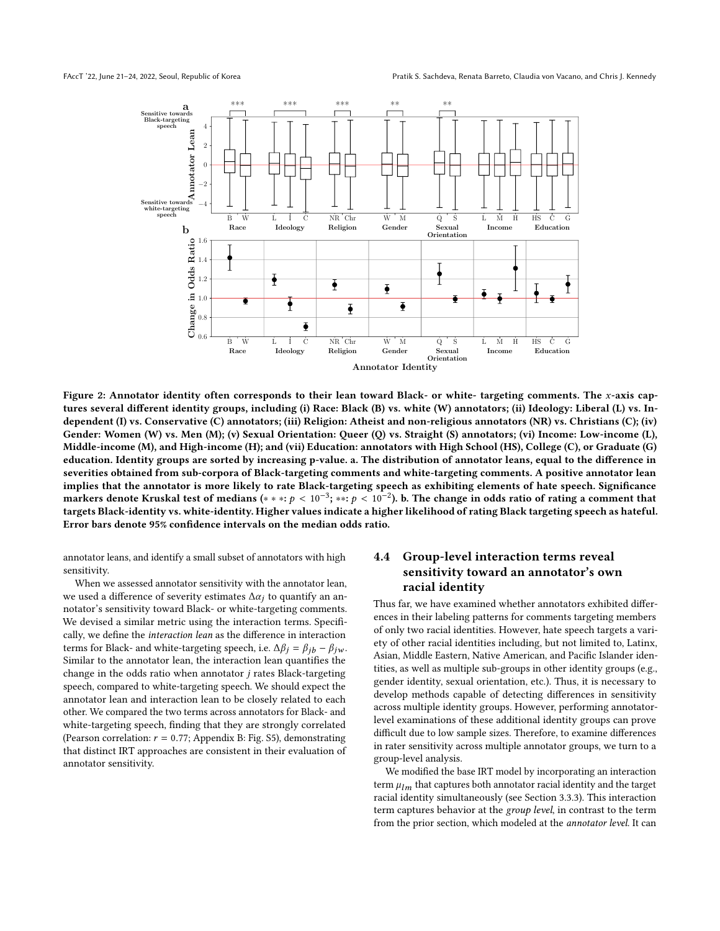<span id="page-7-0"></span>

Figure 2: Annotator identity often corresponds to their lean toward Black- or white- targeting comments. The x-axis captures several different identity groups, including (i) Race: Black (B) vs. white (W) annotators; (ii) Ideology: Liberal (L) vs. Independent (I) vs. Conservative (C) annotators; (iii) Religion: Atheist and non-religious annotators (NR) vs. Christians (C); (iv) Gender: Women (W) vs. Men (M); (v) Sexual Orientation: Queer (Q) vs. Straight (S) annotators; (vi) Income: Low-income (L), Middle-income (M), and High-income (H); and (vii) Education: annotators with High School (HS), College (C), or Graduate (G) education. Identity groups are sorted by increasing p-value. a. The distribution of annotator leans, equal to the difference in severities obtained from sub-corpora of Black-targeting comments and white-targeting comments. A positive annotator lean implies that the annotator is more likely to rate Black-targeting speech as exhibiting elements of hate speech. Significance markers denote Kruskal test of medians (\* \* \*: p <  $10^{-3}$ ; \*\*: p <  $10^{-2}$ ). b. The change in odds ratio of rating a comment that targets Black-identity we white-identity. Higher values indicate a higher likelihood of ra targets Black-identity vs. white-identity. Higher values indicate a higher likelihood of rating Black targeting speech as hateful. Error bars denote 95% confidence intervals on the median odds ratio.

annotator leans, and identify a small subset of annotators with high sensitivity.

When we assessed annotator sensitivity with the annotator lean, we used a difference of severity estimates  $\Delta \alpha_i$  to quantify an annotator's sensitivity toward Black- or white-targeting comments. We devised a similar metric using the interaction terms. Specifically, we define the interaction lean as the difference in interaction terms for Black- and white-targeting speech, i.e.  $\Delta \beta_i = \beta_{ih} - \beta_{iw}$ . Similar to the annotator lean, the interaction lean quantifies the change in the odds ratio when annotator j rates Black-targeting speech, compared to white-targeting speech. We should expect the annotator lean and interaction lean to be closely related to each other. We compared the two terms across annotators for Black- and white-targeting speech, finding that they are strongly correlated (Pearson correlation:  $r = 0.77$ ; Appendix [B:](#page-15-0) Fig. [S5\)](#page-21-1), demonstrating that distinct IRT approaches are consistent in their evaluation of annotator sensitivity.

# 4.4 Group-level interaction terms reveal sensitivity toward an annotator's own racial identity

Thus far, we have examined whether annotators exhibited differences in their labeling patterns for comments targeting members of only two racial identities. However, hate speech targets a variety of other racial identities including, but not limited to, Latinx, Asian, Middle Eastern, Native American, and Pacific Islander identities, as well as multiple sub-groups in other identity groups (e.g., gender identity, sexual orientation, etc.). Thus, it is necessary to develop methods capable of detecting differences in sensitivity across multiple identity groups. However, performing annotatorlevel examinations of these additional identity groups can prove difficult due to low sample sizes. Therefore, to examine differences in rater sensitivity across multiple annotator groups, we turn to a group-level analysis.

We modified the base IRT model by incorporating an interaction term  $\mu_{lm}$  that captures both annotator racial identity and the target racial identity simultaneously (see Section [3.3.3\)](#page-4-3). This interaction term captures behavior at the group level, in contrast to the term from the prior section, which modeled at the annotator level. It can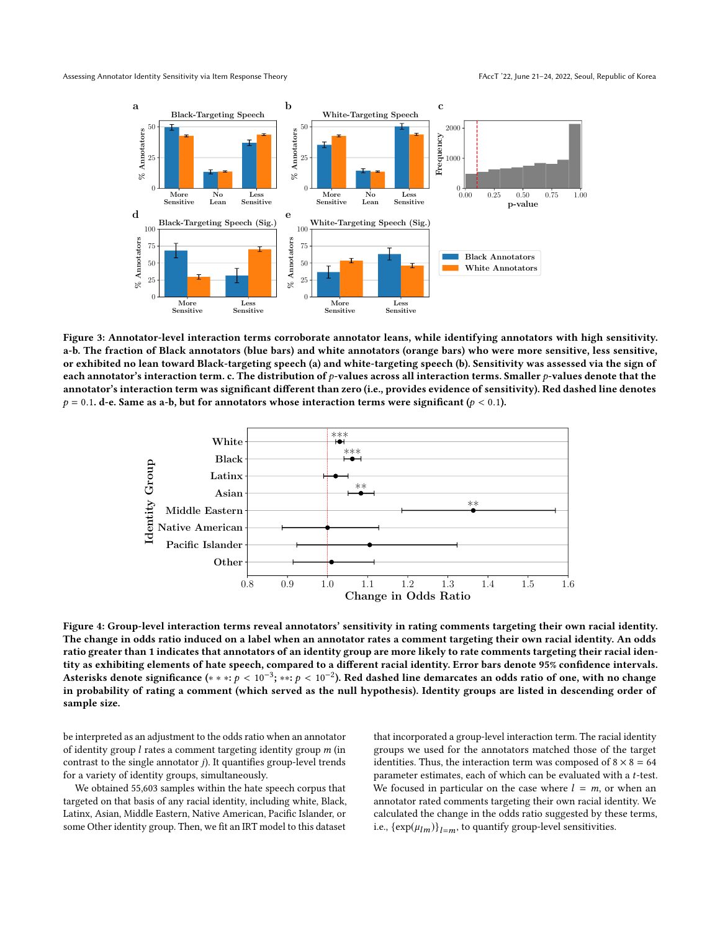<span id="page-8-0"></span>

Figure 3: Annotator-level interaction terms corroborate annotator leans, while identifying annotators with high sensitivity. a-b. The fraction of Black annotators (blue bars) and white annotators (orange bars) who were more sensitive, less sensitive, or exhibited no lean toward Black-targeting speech (a) and white-targeting speech (b). Sensitivity was assessed via the sign of each annotator's interaction term. c. The distribution of  $p$ -values across all interaction terms. Smaller  $p$ -values denote that the annotator's interaction term was significant different than zero (i.e., provides evidence of sensitivity). Red dashed line denotes  $p = 0.1$ . d-e. Same as a-b, but for annotators whose interaction terms were significant ( $p < 0.1$ ).

<span id="page-8-1"></span>

Figure 4: Group-level interaction terms reveal annotators' sensitivity in rating comments targeting their own racial identity. The change in odds ratio induced on a label when an annotator rates a comment targeting their own racial identity. An odds ratio greater than 1 indicates that annotators of an identity group are more likely to rate comments targeting their racial identity as exhibiting elements of hate speech, compared to a different racial identity. Error bars denote 95% confidence intervals. Asterisks denote significance (\* \* \*:  $p < 10^{-3}$ ; \*\*:  $p < 10^{-2}$ ). Red dashed line demarcates an odds ratio of one, with no change<br>in probability of rating a comment (which served as the null hypothesis). Identity groups in probability of rating a comment (which served as the null hypothesis). Identity groups are listed in descending order of sample size.

be interpreted as an adjustment to the odds ratio when an annotator of identity group  $l$  rates a comment targeting identity group  $m$  (in contrast to the single annotator  $j$ ). It quantifies group-level trends for a variety of identity groups, simultaneously.

We obtained 55,603 samples within the hate speech corpus that targeted on that basis of any racial identity, including white, Black, Latinx, Asian, Middle Eastern, Native American, Pacific Islander, or some Other identity group. Then, we fit an IRT model to this dataset

that incorporated a group-level interaction term. The racial identity groups we used for the annotators matched those of the target identities. Thus, the interaction term was composed of  $8 \times 8 = 64$ parameter estimates, each of which can be evaluated with a t-test. We focused in particular on the case where  $l = m$ , or when an annotator rated comments targeting their own racial identity. We calculated the change in the odds ratio suggested by these terms, i.e.,  $\{\exp(\mu_{lm})\}_{l=m}$ , to quantify group-level sensitivities.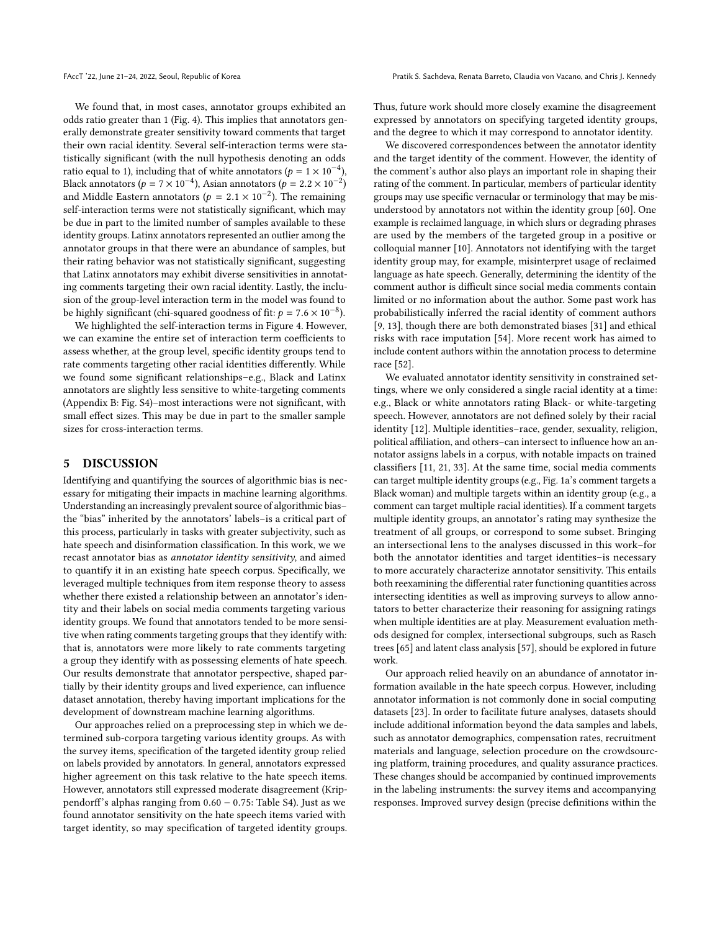We found that, in most cases, annotator groups exhibited an odds ratio greater than 1 (Fig. [4\)](#page-8-1). This implies that annotators generally demonstrate greater sensitivity toward comments that target their own racial identity. Several self-interaction terms were statistically significant (with the null hypothesis denoting an odds ratio equal to 1), including that of white annotators ( $p = 1 \times 10^{-4}$ ), Rlack annotators ( $p = 2 \times 10^{-2}$ ) Black annotators ( $p = 7 \times 10^{-4}$ ), Asian annotators ( $p = 2.2 \times 10^{-2}$ )<br>and Middle Eastern annotators ( $p = 2.1 \times 10^{-2}$ ). The remaining and Middle Eastern annotators ( $p = 2.1 \times 10^{-2}$ ). The remaining self-interaction terms were not statistically significant which may self-interaction terms were not statistically significant, which may be due in part to the limited number of samples available to these identity groups. Latinx annotators represented an outlier among the annotator groups in that there were an abundance of samples, but their rating behavior was not statistically significant, suggesting that Latinx annotators may exhibit diverse sensitivities in annotating comments targeting their own racial identity. Lastly, the inclusion of the group-level interaction term in the model was found to be highly significant (chi-squared goodness of fit:  $p = 7.6 \times 10^{-8}$ ).<br>We highlighted the self-interaction terms in Figure 4. However

We highlighted the self-interaction terms in Figure [4.](#page-8-1) However, we can examine the entire set of interaction term coefficients to assess whether, at the group level, specific identity groups tend to rate comments targeting other racial identities differently. While we found some significant relationships–e.g., Black and Latinx annotators are slightly less sensitive to white-targeting comments (Appendix [B:](#page-15-0) Fig. [S4\)](#page-20-0)–most interactions were not significant, with small effect sizes. This may be due in part to the smaller sample sizes for cross-interaction terms.

# <span id="page-9-0"></span>5 DISCUSSION

Identifying and quantifying the sources of algorithmic bias is necessary for mitigating their impacts in machine learning algorithms. Understanding an increasingly prevalent source of algorithmic bias– the "bias" inherited by the annotators' labels–is a critical part of this process, particularly in tasks with greater subjectivity, such as hate speech and disinformation classification. In this work, we we recast annotator bias as annotator identity sensitivity, and aimed to quantify it in an existing hate speech corpus. Specifically, we leveraged multiple techniques from item response theory to assess whether there existed a relationship between an annotator's identity and their labels on social media comments targeting various identity groups. We found that annotators tended to be more sensitive when rating comments targeting groups that they identify with: that is, annotators were more likely to rate comments targeting a group they identify with as possessing elements of hate speech. Our results demonstrate that annotator perspective, shaped partially by their identity groups and lived experience, can influence dataset annotation, thereby having important implications for the development of downstream machine learning algorithms.

Our approaches relied on a preprocessing step in which we determined sub-corpora targeting various identity groups. As with the survey items, specification of the targeted identity group relied on labels provided by annotators. In general, annotators expressed higher agreement on this task relative to the hate speech items. However, annotators still expressed moderate disagreement (Krippendorff's alphas ranging from <sup>0</sup>.<sup>60</sup> <sup>−</sup> <sup>0</sup>.75: Table [S4\)](#page-16-1). Just as we found annotator sensitivity on the hate speech items varied with target identity, so may specification of targeted identity groups. Thus, future work should more closely examine the disagreement expressed by annotators on specifying targeted identity groups, and the degree to which it may correspond to annotator identity.

We discovered correspondences between the annotator identity and the target identity of the comment. However, the identity of the comment's author also plays an important role in shaping their rating of the comment. In particular, members of particular identity groups may use specific vernacular or terminology that may be misunderstood by annotators not within the identity group [\[60\]](#page-11-10). One example is reclaimed language, in which slurs or degrading phrases are used by the members of the targeted group in a positive or colloquial manner [\[10\]](#page-10-14). Annotators not identifying with the target identity group may, for example, misinterpret usage of reclaimed language as hate speech. Generally, determining the identity of the comment author is difficult since social media comments contain limited or no information about the author. Some past work has probabilistically inferred the racial identity of comment authors [\[9,](#page-10-15) [13\]](#page-10-16), though there are both demonstrated biases [\[31\]](#page-11-43) and ethical risks with race imputation [\[54\]](#page-11-44). More recent work has aimed to include content authors within the annotation process to determine race [\[52\]](#page-11-45).

We evaluated annotator identity sensitivity in constrained settings, where we only considered a single racial identity at a time: e.g., Black or white annotators rating Black- or white-targeting speech. However, annotators are not defined solely by their racial identity [\[12\]](#page-10-17). Multiple identities–race, gender, sexuality, religion, political affiliation, and others–can intersect to influence how an annotator assigns labels in a corpus, with notable impacts on trained classifiers [\[11,](#page-10-18) [21,](#page-10-19) [33\]](#page-11-23). At the same time, social media comments can target multiple identity groups (e.g., Fig. [1a](#page-5-0)'s comment targets a Black woman) and multiple targets within an identity group (e.g., a comment can target multiple racial identities). If a comment targets multiple identity groups, an annotator's rating may synthesize the treatment of all groups, or correspond to some subset. Bringing an intersectional lens to the analyses discussed in this work–for both the annotator identities and target identities–is necessary to more accurately characterize annotator sensitivity. This entails both reexamining the differential rater functioning quantities across intersecting identities as well as improving surveys to allow annotators to better characterize their reasoning for assigning ratings when multiple identities are at play. Measurement evaluation methods designed for complex, intersectional subgroups, such as Rasch trees [\[65\]](#page-11-46) and latent class analysis [\[57\]](#page-11-47), should be explored in future work.

Our approach relied heavily on an abundance of annotator information available in the hate speech corpus. However, including annotator information is not commonly done in social computing datasets [\[23\]](#page-11-17). In order to facilitate future analyses, datasets should include additional information beyond the data samples and labels, such as annotator demographics, compensation rates, recruitment materials and language, selection procedure on the crowdsourcing platform, training procedures, and quality assurance practices. These changes should be accompanied by continued improvements in the labeling instruments: the survey items and accompanying responses. Improved survey design (precise definitions within the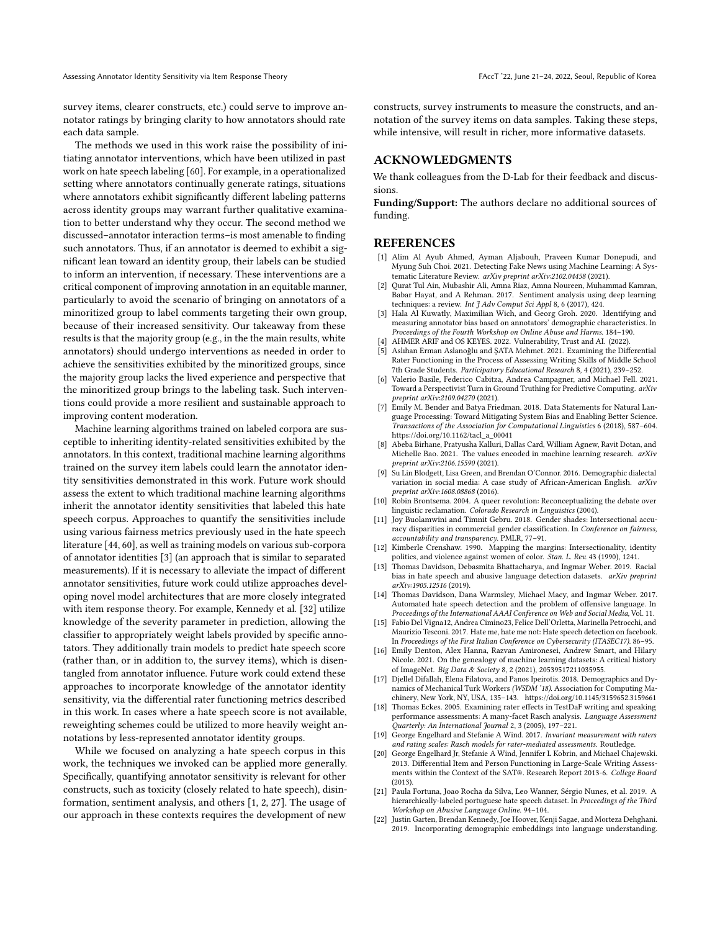survey items, clearer constructs, etc.) could serve to improve annotator ratings by bringing clarity to how annotators should rate each data sample.

The methods we used in this work raise the possibility of initiating annotator interventions, which have been utilized in past work on hate speech labeling [\[60\]](#page-11-10). For example, in a operationalized setting where annotators continually generate ratings, situations where annotators exhibit significantly different labeling patterns across identity groups may warrant further qualitative examination to better understand why they occur. The second method we discussed–annotator interaction terms–is most amenable to finding such annotators. Thus, if an annotator is deemed to exhibit a significant lean toward an identity group, their labels can be studied to inform an intervention, if necessary. These interventions are a critical component of improving annotation in an equitable manner, particularly to avoid the scenario of bringing on annotators of a minoritized group to label comments targeting their own group, because of their increased sensitivity. Our takeaway from these results is that the majority group (e.g., in the the main results, white annotators) should undergo interventions as needed in order to achieve the sensitivities exhibited by the minoritized groups, since the majority group lacks the lived experience and perspective that the minoritized group brings to the labeling task. Such interventions could provide a more resilient and sustainable approach to improving content moderation.

Machine learning algorithms trained on labeled corpora are susceptible to inheriting identity-related sensitivities exhibited by the annotators. In this context, traditional machine learning algorithms trained on the survey item labels could learn the annotator identity sensitivities demonstrated in this work. Future work should assess the extent to which traditional machine learning algorithms inherit the annotator identity sensitivities that labeled this hate speech corpus. Approaches to quantify the sensitivities include using various fairness metrics previously used in the hate speech literature [\[44,](#page-11-15) [60\]](#page-11-10), as well as training models on various sub-corpora of annotator identities [\[3\]](#page-10-2) (an approach that is similar to separated measurements). If it is necessary to alleviate the impact of different annotator sensitivities, future work could utilize approaches developing novel model architectures that are more closely integrated with item response theory. For example, Kennedy et al. [\[32\]](#page-11-16) utilize knowledge of the severity parameter in prediction, allowing the classifier to appropriately weight labels provided by specific annotators. They additionally train models to predict hate speech score (rather than, or in addition to, the survey items), which is disentangled from annotator influence. Future work could extend these approaches to incorporate knowledge of the annotator identity sensitivity, via the differential rater functioning metrics described in this work. In cases where a hate speech score is not available, reweighting schemes could be utilized to more heavily weight annotations by less-represented annotator identity groups.

While we focused on analyzing a hate speech corpus in this work, the techniques we invoked can be applied more generally. Specifically, quantifying annotator sensitivity is relevant for other constructs, such as toxicity (closely related to hate speech), disinformation, sentiment analysis, and others [\[1,](#page-10-20) [2,](#page-10-21) [27\]](#page-11-48). The usage of our approach in these contexts requires the development of new

constructs, survey instruments to measure the constructs, and annotation of the survey items on data samples. Taking these steps, while intensive, will result in richer, more informative datasets.

# ACKNOWLEDGMENTS

We thank colleagues from the D-Lab for their feedback and discussions.

Funding/Support: The authors declare no additional sources of funding.

#### REFERENCES

- <span id="page-10-20"></span>[1] Alim Al Ayub Ahmed, Ayman Aljabouh, Praveen Kumar Donepudi, and Myung Suh Choi. 2021. Detecting Fake News using Machine Learning: A Systematic Literature Review. arXiv preprint arXiv:2102.04458 (2021).
- <span id="page-10-21"></span>[2] Qurat Tul Ain, Mubashir Ali, Amna Riaz, Amna Noureen, Muhammad Kamran, Babar Hayat, and A Rehman. 2017. Sentiment analysis using deep learning techniques: a review. Int J Adv Comput Sci Appl 8, 6 (2017), 424.
- <span id="page-10-2"></span>[3] Hala Al Kuwatly, Maximilian Wich, and Georg Groh. 2020. Identifying and measuring annotator bias based on annotators' demographic characteristics. In Proceedings of the Fourth Workshop on Online Abuse and Harms. 184–190.
- <span id="page-10-5"></span>AHMER ARIF and OS KEYES. 2022. Vulnerability, Trust and AI. (2022).
- <span id="page-10-11"></span>Aslıhan Erman Aslanoğlu and ŞATA Mehmet. 2021. Examining the Differential Rater Functioning in the Process of Assessing Writing Skills of Middle School 7th Grade Students. Participatory Educational Research 8, 4 (2021), 239–252.
- <span id="page-10-1"></span>[6] Valerio Basile, Federico Cabitza, Andrea Campagner, and Michael Fell. 2021. Toward a Perspectivist Turn in Ground Truthing for Predictive Computing. arXiv preprint arXiv:2109.04270 (2021).
- <span id="page-10-0"></span>[7] Emily M. Bender and Batya Friedman. 2018. Data Statements for Natural Language Processing: Toward Mitigating System Bias and Enabling Better Science. Transactions of the Association for Computational Linguistics 6 (2018), 587–604. [https://doi.org/10.1162/tacl\\_a\\_00041](https://doi.org/10.1162/tacl_a_00041)
- <span id="page-10-8"></span>[8] Abeba Birhane, Pratyusha Kalluri, Dallas Card, William Agnew, Ravit Dotan, and Michelle Bao. 2021. The values encoded in machine learning research. arXiv preprint arXiv:2106.15590 (2021).
- <span id="page-10-15"></span>[9] Su Lin Blodgett, Lisa Green, and Brendan O'Connor. 2016. Demographic dialectal variation in social media: A case study of African-American English. arXiv preprint arXiv:1608.08868 (2016).
- <span id="page-10-14"></span>[10] Robin Brontsema. 2004. A queer revolution: Reconceptualizing the debate over linguistic reclamation. Colorado Research in Linguistics (2004).
- <span id="page-10-18"></span>[11] Joy Buolamwini and Timnit Gebru. 2018. Gender shades: Intersectional accuracy disparities in commercial gender classification. In Conference on fairness, accountability and transparency. PMLR, 77–91.
- <span id="page-10-17"></span>[12] Kimberle Crenshaw. 1990. Mapping the margins: Intersectionality, identity politics, and violence against women of color. Stan. L. Rev. 43 (1990), 1241.
- <span id="page-10-16"></span>[13] Thomas Davidson, Debasmita Bhattacharya, and Ingmar Weber. 2019. Racial bias in hate speech and abusive language detection datasets. arXiv preprint arXiv:1905.12516 (2019).
- <span id="page-10-4"></span>[14] Thomas Davidson, Dana Warmsley, Michael Macy, and Ingmar Weber. 2017. Automated hate speech detection and the problem of offensive language. In Proceedings of the International AAAI Conference on Web and Social Media, Vol. 11.
- <span id="page-10-12"></span>[15] Fabio Del Vigna12, Andrea Cimino23, Felice Dell'Orletta, Marinella Petrocchi, and Maurizio Tesconi. 2017. Hate me, hate me not: Hate speech detection on facebook. In Proceedings of the First Italian Conference on Cybersecurity (ITASEC17). 86–95.
- <span id="page-10-9"></span>[16] Emily Denton, Alex Hanna, Razvan Amironesei, Andrew Smart, and Hilary Nicole. 2021. On the genealogy of machine learning datasets: A critical history of ImageNet. Big Data & Society 8, 2 (2021), 20539517211035955.
- <span id="page-10-6"></span>[17] Djellel Difallah, Elena Filatova, and Panos Ipeirotis. 2018. Demographics and Dynamics of Mechanical Turk Workers (WSDM '18). Association for Computing Machinery, New York, NY, USA, 135–143.<https://doi.org/10.1145/3159652.3159661>
- <span id="page-10-13"></span>[18] Thomas Eckes. 2005. Examining rater effects in TestDaF writing and speaking performance assessments: A many-facet Rasch analysis. Language Assessment Quarterly: An International Journal 2, 3 (2005), 197–221.
- <span id="page-10-3"></span>[19] George Engelhard and Stefanie A Wind. 2017. Invariant measurement with raters and rating scales: Rasch models for rater-mediated assessments. Routledge.
- <span id="page-10-10"></span>[20] George Engelhard Jr, Stefanie A Wind, Jennifer L Kobrin, and Michael Chajewski. 2013. Differential Item and Person Functioning in Large-Scale Writing Assessments within the Context of the SAT®. Research Report 2013-6. College Board (2013).
- <span id="page-10-19"></span>[21] Paula Fortuna, Joao Rocha da Silva, Leo Wanner, Sérgio Nunes, et al. 2019. A hierarchically-labeled portuguese hate speech dataset. In Proceedings of the Third Workshop on Abusive Language Online. 94–104.
- <span id="page-10-7"></span>[22] Justin Garten, Brendan Kennedy, Joe Hoover, Kenji Sagae, and Morteza Dehghani. 2019. Incorporating demographic embeddings into language understanding.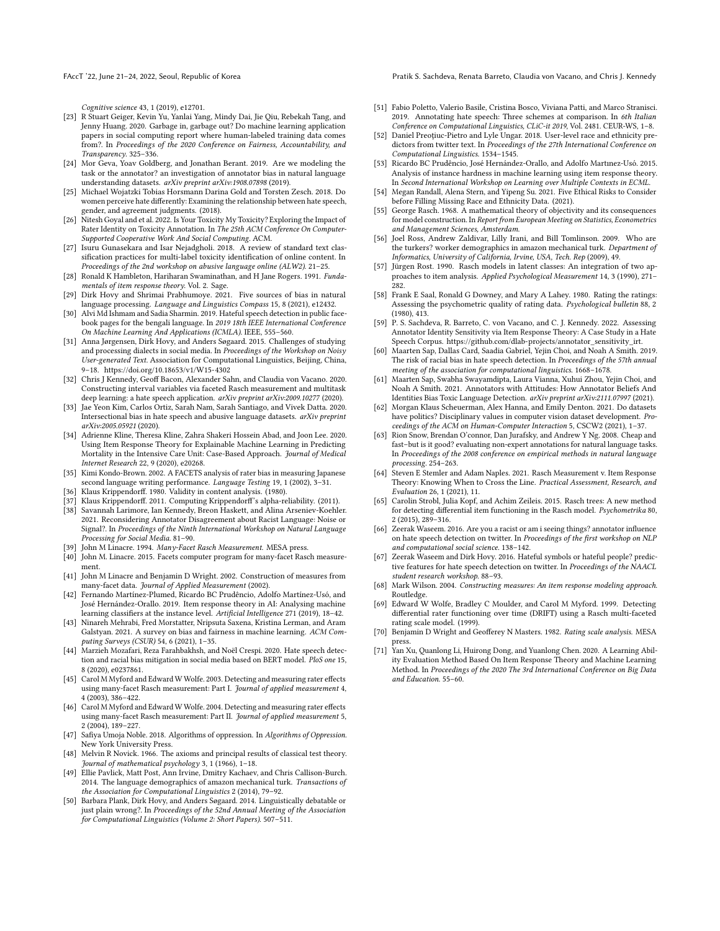FAccT '22, June 21-24, 2022, Seoul, Republic of Korea Pratik S. Sachdeva, Renata Barreto, Claudia von Vacano, and Chris J. Kennedy

Cognitive science 43, 1 (2019), e12701.

- <span id="page-11-17"></span>[23] R Stuart Geiger, Kevin Yu, Yanlai Yang, Mindy Dai, Jie Qiu, Rebekah Tang, and Jenny Huang. 2020. Garbage in, garbage out? Do machine learning application papers in social computing report where human-labeled training data comes from?. In Proceedings of the 2020 Conference on Fairness, Accountability, and Transparency. 325–336.
- <span id="page-11-1"></span>[24] Mor Geva, Yoav Goldberg, and Jonathan Berant. 2019. Are we modeling the task or the annotator? an investigation of annotator bias in natural language understanding datasets. arXiv preprint arXiv:1908.07898 (2019).
- <span id="page-11-21"></span>[25] Michael Wojatzki Tobias Horsmann Darina Gold and Torsten Zesch. 2018. Do women perceive hate differently: Examining the relationship between hate speech, gender, and agreement judgments. (2018).
- <span id="page-11-8"></span>[26] Nitesh Goyal and et al. 2022. Is Your Toxicity My Toxicity? Exploring the Impact of Rater Identity on Toxicity Annotation. In The 25th ACM Conference On Computer-Supported Cooperative Work And Social Computing. ACM.
- <span id="page-11-48"></span>[27] Isuru Gunasekara and Isar Nejadgholi. 2018. A review of standard text classification practices for multi-label toxicity identification of online content. In Proceedings of the 2nd workshop on abusive language online (ALW2). 21–25.
- <span id="page-11-13"></span>[28] Ronald K Hambleton, Hariharan Swaminathan, and H Jane Rogers. 1991. Fundamentals of item response theory. Vol. 2. Sage.
- <span id="page-11-2"></span>[29] Dirk Hovy and Shrimai Prabhumoye. 2021. Five sources of bias in natural language processing. Language and Linguistics Compass 15, 8 (2021), e12432.
- <span id="page-11-35"></span>[30] Alvi Md Ishmam and Sadia Sharmin. 2019. Hateful speech detection in public facebook pages for the bengali language. In 2019 18th IEEE International Conference On Machine Learning And Applications (ICMLA). IEEE, 555–560.
- <span id="page-11-43"></span>[31] Anna Jørgensen, Dirk Hovy, and Anders Søgaard. 2015. Challenges of studying and processing dialects in social media. In Proceedings of the Workshop on Noisy User-generated Text. Association for Computational Linguistics, Beijing, China, 9–18.<https://doi.org/10.18653/v1/W15-4302>
- <span id="page-11-16"></span>[32] Chris J Kennedy, Geoff Bacon, Alexander Sahn, and Claudia von Vacano. 2020. Constructing interval variables via faceted Rasch measurement and multitask deep learning: a hate speech application.  $arXiv$  preprint  $arXiv:2009.10277$  (2020).
- <span id="page-11-23"></span>[33] Jae Yeon Kim, Carlos Ortiz, Sarah Nam, Sarah Santiago, and Vivek Datta. 2020. Intersectional bias in hate speech and abusive language datasets. arXiv preprint arXiv:2005.05921 (2020).
- <span id="page-11-28"></span>[34] Adrienne Kline, Theresa Kline, Zahra Shakeri Hossein Abad, and Joon Lee. 2020. Using Item Response Theory for Explainable Machine Learning in Predicting Mortality in the Intensive Care Unit: Case-Based Approach. Journal of Medical Internet Research 22, 9 (2020), e20268.
- <span id="page-11-33"></span>[35] Kimi Kondo-Brown. 2002. A FACETS analysis of rater bias in measuring Japanese second language writing performance. Language Testing 19, 1 (2002), 3–31.
- <span id="page-11-42"></span>Klaus Krippendorff. 1980. Validity in content analysis. (1980).
- <span id="page-11-6"></span>[37] Klaus Krippendorff. 2011. Computing Krippendorff's alpha-reliability. (2011).
- <span id="page-11-9"></span>[38] Savannah Larimore, Ian Kennedy, Breon Haskett, and Alina Arseniev-Koehler. 2021. Reconsidering Annotator Disagreement about Racist Language: Noise or Signal?. In Proceedings of the Ninth International Workshop on Natural Language Processing for Social Media. 81–90.
- <span id="page-11-38"></span>[39] John M Linacre. 1994. Many-Facet Rasch Measurement. MESA press.
- <span id="page-11-40"></span>[40] John M. Linacre. 2015. Facets computer program for many-facet Rasch measurement.
- <span id="page-11-39"></span>[41] John M Linacre and Benjamin D Wright. 2002. Construction of measures from many-facet data. Journal of Applied Measurement (2002).
- <span id="page-11-25"></span>[42] Fernando Martínez-Plumed, Ricardo BC Prudêncio, Adolfo Martínez-Usó, and José Hernández-Orallo. 2019. Item response theory in AI: Analysing machine learning classifiers at the instance level. Artificial Intelligence 271 (2019), 18–42.
- <span id="page-11-0"></span>[43] Ninareh Mehrabi, Fred Morstatter, Nripsuta Saxena, Kristina Lerman, and Aram Galstyan. 2021. A survey on bias and fairness in machine learning. ACM Computing Surveys (CSUR) 54, 6 (2021), 1–35.
- <span id="page-11-15"></span>[44] Marzieh Mozafari, Reza Farahbakhsh, and Noël Crespi. 2020. Hate speech detection and racial bias mitigation in social media based on BERT model. PloS one 15, 8 (2020), e0237861.
- <span id="page-11-29"></span>[45] Carol M Myford and Edward W Wolfe. 2003. Detecting and measuring rater effects using many-facet Rasch measurement: Part I. Journal of applied measurement 4, 4 (2003), 386–422.
- <span id="page-11-30"></span>[46] Carol M Myford and Edward W Wolfe. 2004. Detecting and measuring rater effects using many-facet Rasch measurement: Part II. Journal of applied measurement 5, 2 (2004), 189–227.
- <span id="page-11-7"></span>[47] Safiya Umoja Noble. 2018. Algorithms of oppression. In Algorithms of Oppression. New York University Press.
- <span id="page-11-11"></span>[48] Melvin R Novick. 1966. The axioms and principal results of classical test theory. Journal of mathematical psychology 3, 1 (1966), 1–18.
- <span id="page-11-5"></span>[49] Ellie Pavlick, Matt Post, Ann Irvine, Dmitry Kachaev, and Chris Callison-Burch. 2014. The language demographics of amazon mechanical turk. Transactions of the Association for Computational Linguistics 2 (2014), 79–92.
- <span id="page-11-3"></span>[50] Barbara Plank, Dirk Hovy, and Anders Søgaard. 2014. Linguistically debatable or just plain wrong?. In Proceedings of the 52nd Annual Meeting of the Association for Computational Linguistics (Volume 2: Short Papers). 507–511.
- <span id="page-11-36"></span>[51] Fabio Poletto, Valerio Basile, Cristina Bosco, Viviana Patti, and Marco Stranisci. 2019. Annotating hate speech: Three schemes at comparison. In 6th Italian Conference on Computational Linguistics, CLiC-it 2019, Vol. 2481. CEUR-WS, 1–8.
- <span id="page-11-45"></span>[52] Daniel Preoţiuc-Pietro and Lyle Ungar. 2018. User-level race and ethnicity predictors from twitter text. In Proceedings of the 27th International Conference on Computational Linguistics. 1534–1545.
- <span id="page-11-26"></span>[53] Ricardo BC Prudêncio, José Hernández-Orallo, and Adolfo Martınez-Usó. 2015. Analysis of instance hardness in machine learning using item response theory. In Second International Workshop on Learning over Multiple Contexts in ECML.
- <span id="page-11-44"></span>[54] Megan Randall, Alena Stern, and Yipeng Su. 2021. Five Ethical Risks to Consider before Filling Missing Race and Ethnicity Data. (2021).
- <span id="page-11-14"></span>[55] George Rasch. 1968. A mathematical theory of objectivity and its consequences for model construction. In Report from European Meeting on Statistics, Econometrics and Management Sciences, Amsterdam.
- <span id="page-11-18"></span>[56] Joel Ross, Andrew Zaldivar, Lilly Irani, and Bill Tomlinson. 2009. Who are the turkers? worker demographics in amazon mechanical turk. Department of Informatics, University of California, Irvine, USA, Tech. Rep (2009), 49.
- <span id="page-11-47"></span>[57] Jürgen Rost. 1990. Rasch models in latent classes: An integration of two approaches to item analysis. Applied Psychological Measurement 14, 3 (1990), 271– 282.
- <span id="page-11-31"></span>[58] Frank E Saal, Ronald G Downey, and Mary A Lahey. 1980. Rating the ratings: Assessing the psychometric quality of rating data. Psychological bulletin 88, 2 (1980), 413.
- <span id="page-11-34"></span>[59] P. S. Sachdeva, R. Barreto, C. von Vacano, and C. J. Kennedy. 2022. Assessing Annotator Identity Sensitivity via Item Response Theory: A Case Study in a Hate Speech Corpus. [https://github.com/dlab-projects/annotator\\_sensitivity\\_irt.](https://github.com/dlab-projects/annotator_sensitivity_irt)
- <span id="page-11-10"></span>[60] Maarten Sap, Dallas Card, Saadia Gabriel, Yejin Choi, and Noah A Smith. 2019. The risk of racial bias in hate speech detection. In Proceedings of the 57th annual meeting of the association for computational linguistics. 1668–1678.
- <span id="page-11-22"></span>[61] Maarten Sap, Swabha Swayamdipta, Laura Vianna, Xuhui Zhou, Yejin Choi, and Noah A Smith. 2021. Annotators with Attitudes: How Annotator Beliefs And Identities Bias Toxic Language Detection. arXiv preprint arXiv:2111.07997 (2021).
- <span id="page-11-24"></span>[62] Morgan Klaus Scheuerman, Alex Hanna, and Emily Denton. 2021. Do datasets have politics? Disciplinary values in computer vision dataset development. Proceedings of the ACM on Human-Computer Interaction 5, CSCW2 (2021), 1–37.
- <span id="page-11-4"></span>[63] Rion Snow, Brendan O'connor, Dan Jurafsky, and Andrew Y Ng. 2008. Cheap and fast–but is it good? evaluating non-expert annotations for natural language tasks. In Proceedings of the 2008 conference on empirical methods in natural language processing. 254–263.
- <span id="page-11-12"></span>[64] Steven E Stemler and Adam Naples. 2021. Rasch Measurement v. Item Response Theory: Knowing When to Cross the Line. Practical Assessment, Research, and Evaluation 26, 1 (2021), 11.
- <span id="page-11-46"></span>[65] Carolin Strobl, Julia Kopf, and Achim Zeileis. 2015. Rasch trees: A new method for detecting differential item functioning in the Rasch model. Psychometrika 80, 2 (2015), 289–316.
- <span id="page-11-19"></span>[66] Zeerak Waseem. 2016. Are you a racist or am i seeing things? annotator influence on hate speech detection on twitter. In Proceedings of the first workshop on NLP and computational social science. 138–142.
- <span id="page-11-20"></span>[67] Zeerak Waseem and Dirk Hovy. 2016. Hateful symbols or hateful people? predictive features for hate speech detection on twitter. In Proceedings of the NAACL student research workshop. 88–93.
- <span id="page-11-37"></span>[68] Mark Wilson. 2004. Constructing measures: An item response modeling approach. Routledge.
- <span id="page-11-41"></span>[69] Edward W Wolfe, Bradley C Moulder, and Carol M Myford. 1999. Detecting differential rater functioning over time (DRIFT) using a Rasch multi-faceted rating scale model. (1999).
- <span id="page-11-32"></span>[70] Benjamin D Wright and Geofferey N Masters. 1982. Rating scale analysis. MESA press. [71] Yan Xu, Quanlong Li, Huirong Dong, and Yuanlong Chen. 2020. A Learning Abil-
- <span id="page-11-27"></span>ity Evaluation Method Based On Item Response Theory and Machine Learning Method. In Proceedings of the 2020 The 3rd International Conference on Big Data and Education. 55–60.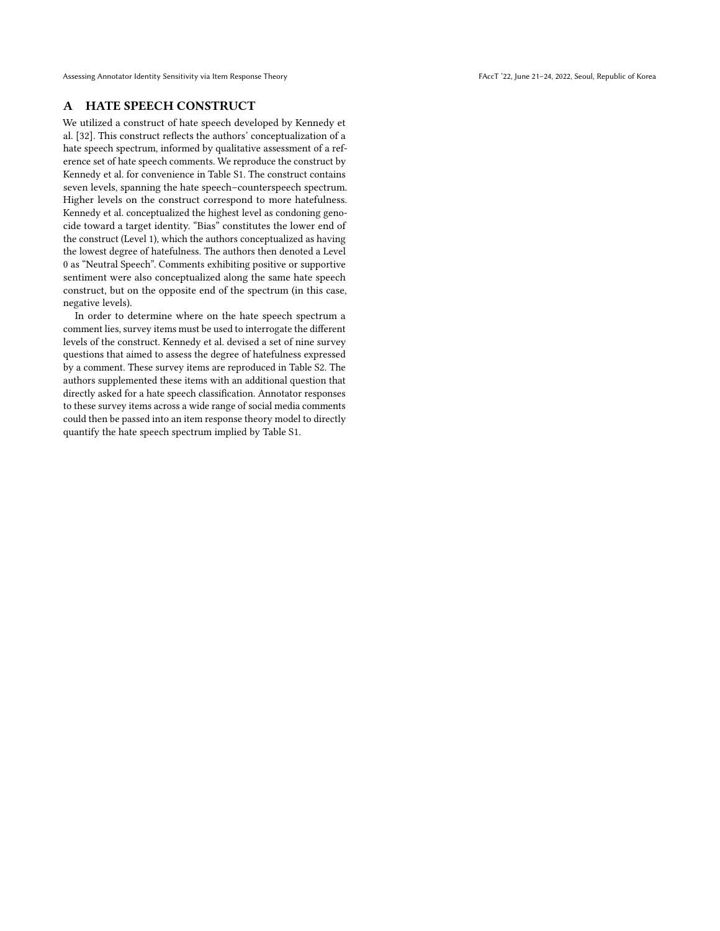# <span id="page-12-0"></span>A HATE SPEECH CONSTRUCT

We utilized a construct of hate speech developed by Kennedy et al. [\[32\]](#page-11-16). This construct reflects the authors' conceptualization of a hate speech spectrum, informed by qualitative assessment of a reference set of hate speech comments. We reproduce the construct by Kennedy et al. for convenience in Table [S1.](#page-13-0) The construct contains seven levels, spanning the hate speech–counterspeech spectrum. Higher levels on the construct correspond to more hatefulness. Kennedy et al. conceptualized the highest level as condoning genocide toward a target identity. "Bias" constitutes the lower end of the construct (Level 1), which the authors conceptualized as having the lowest degree of hatefulness. The authors then denoted a Level 0 as "Neutral Speech". Comments exhibiting positive or supportive sentiment were also conceptualized along the same hate speech construct, but on the opposite end of the spectrum (in this case, negative levels).

In order to determine where on the hate speech spectrum a comment lies, survey items must be used to interrogate the different levels of the construct. Kennedy et al. devised a set of nine survey questions that aimed to assess the degree of hatefulness expressed by a comment. These survey items are reproduced in Table [S2.](#page-14-0) The authors supplemented these items with an additional question that directly asked for a hate speech classification. Annotator responses to these survey items across a wide range of social media comments could then be passed into an item response theory model to directly quantify the hate speech spectrum implied by Table [S1.](#page-13-0)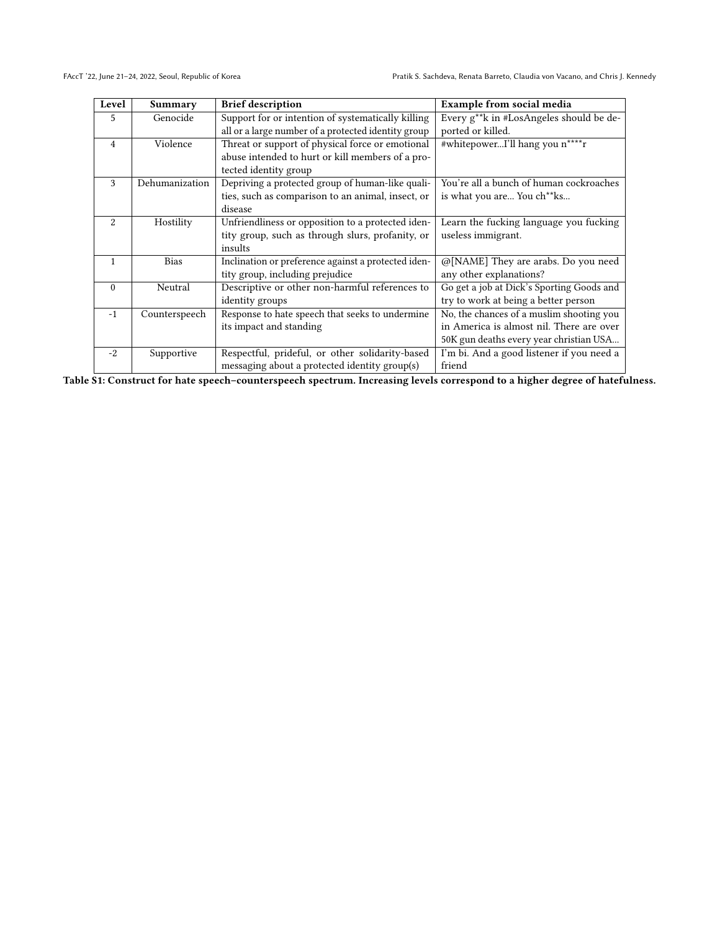<span id="page-13-0"></span>

| Level        | Summary        | <b>Brief description</b>                            | Example from social media                 |  |  |  |
|--------------|----------------|-----------------------------------------------------|-------------------------------------------|--|--|--|
| 5            | Genocide       | Support for or intention of systematically killing  | Every g**k in #LosAngeles should be de-   |  |  |  |
|              |                | all or a large number of a protected identity group | ported or killed.                         |  |  |  |
| 4            | Violence       | Threat or support of physical force or emotional    | #whitepowerI'll hang you n****r           |  |  |  |
|              |                | abuse intended to hurt or kill members of a pro-    |                                           |  |  |  |
|              |                | tected identity group                               |                                           |  |  |  |
| 3            | Dehumanization | Depriving a protected group of human-like quali-    | You're all a bunch of human cockroaches   |  |  |  |
|              |                | ties, such as comparison to an animal, insect, or   | is what you are You ch <sup>**</sup> ks   |  |  |  |
|              |                | disease                                             |                                           |  |  |  |
| 2            | Hostility      | Unfriendliness or opposition to a protected iden-   | Learn the fucking language you fucking    |  |  |  |
|              |                | tity group, such as through slurs, profanity, or    | useless immigrant.                        |  |  |  |
|              |                | insults                                             |                                           |  |  |  |
| $\mathbf{1}$ | <b>Bias</b>    | Inclination or preference against a protected iden- | @[NAME] They are arabs. Do you need       |  |  |  |
|              |                | tity group, including prejudice                     | any other explanations?                   |  |  |  |
| $\Omega$     | Neutral        | Descriptive or other non-harmful references to      | Go get a job at Dick's Sporting Goods and |  |  |  |
|              |                | identity groups                                     | try to work at being a better person      |  |  |  |
| $-1$         | Counterspeech  | Response to hate speech that seeks to undermine     | No, the chances of a muslim shooting you  |  |  |  |
|              |                | its impact and standing                             | in America is almost nil. There are over  |  |  |  |
|              |                |                                                     | 50K gun deaths every year christian USA   |  |  |  |
| $-2.$        | Supportive     | Respectful, prideful, or other solidarity-based     | I'm bi. And a good listener if you need a |  |  |  |
|              |                | messaging about a protected identity group(s)       | friend                                    |  |  |  |

Table S1: Construct for hate speech–counterspeech spectrum. Increasing levels correspond to a higher degree of hatefulness.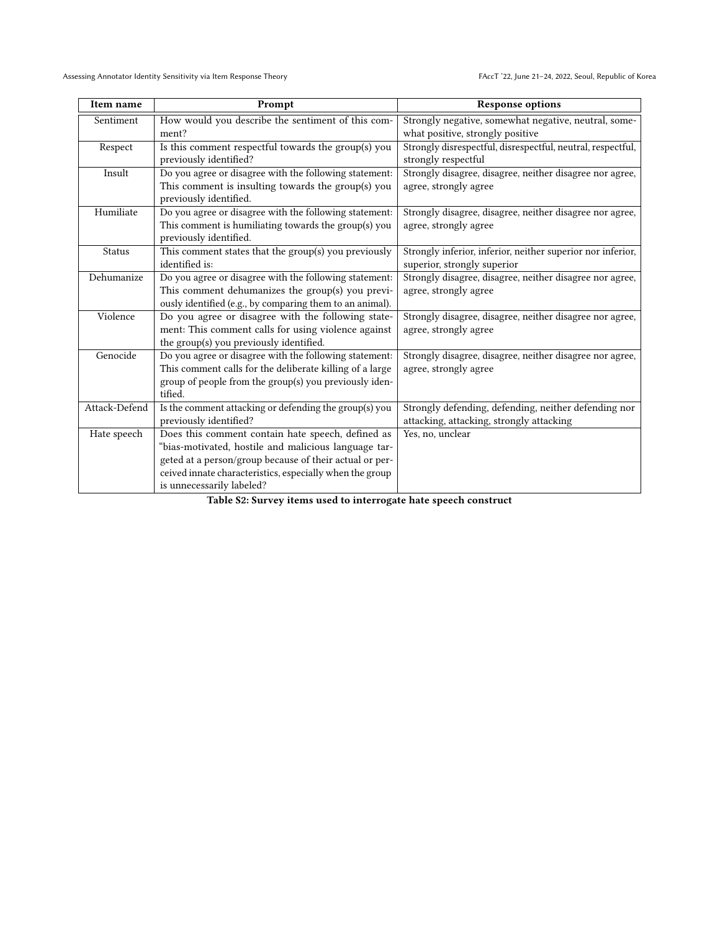<span id="page-14-0"></span>

| Item name     | Prompt                                                   | <b>Response options</b>                                     |
|---------------|----------------------------------------------------------|-------------------------------------------------------------|
| Sentiment     | How would you describe the sentiment of this com-        | Strongly negative, somewhat negative, neutral, some-        |
|               | ment?                                                    | what positive, strongly positive                            |
| Respect       | Is this comment respectful towards the group(s) you      | Strongly disrespectful, disrespectful, neutral, respectful, |
|               | previously identified?                                   | strongly respectful                                         |
| Insult        | Do you agree or disagree with the following statement:   | Strongly disagree, disagree, neither disagree nor agree,    |
|               | This comment is insulting towards the group(s) you       | agree, strongly agree                                       |
|               | previously identified.                                   |                                                             |
| Humiliate     | Do you agree or disagree with the following statement:   | Strongly disagree, disagree, neither disagree nor agree,    |
|               | This comment is humiliating towards the group(s) you     | agree, strongly agree                                       |
|               | previously identified.                                   |                                                             |
| Status        | This comment states that the group(s) you previously     | Strongly inferior, inferior, neither superior nor inferior, |
|               | identified is:                                           | superior, strongly superior                                 |
| Dehumanize    | Do you agree or disagree with the following statement:   | Strongly disagree, disagree, neither disagree nor agree,    |
|               | This comment dehumanizes the group(s) you previ-         | agree, strongly agree                                       |
|               | ously identified (e.g., by comparing them to an animal). |                                                             |
| Violence      | Do you agree or disagree with the following state-       | Strongly disagree, disagree, neither disagree nor agree,    |
|               | ment: This comment calls for using violence against      | agree, strongly agree                                       |
|               | the group(s) you previously identified.                  |                                                             |
| Genocide      | Do you agree or disagree with the following statement:   | Strongly disagree, disagree, neither disagree nor agree,    |
|               | This comment calls for the deliberate killing of a large | agree, strongly agree                                       |
|               | group of people from the group(s) you previously iden-   |                                                             |
|               | tified.                                                  |                                                             |
| Attack-Defend | Is the comment attacking or defending the group(s) you   | Strongly defending, defending, neither defending nor        |
|               | previously identified?                                   | attacking, attacking, strongly attacking                    |
| Hate speech   | Does this comment contain hate speech, defined as        | Yes, no, unclear                                            |
|               | "bias-motivated, hostile and malicious language tar-     |                                                             |
|               | geted at a person/group because of their actual or per-  |                                                             |
|               | ceived innate characteristics, especially when the group |                                                             |
|               | is unnecessarily labeled?                                |                                                             |

Table S2: Survey items used to interrogate hate speech construct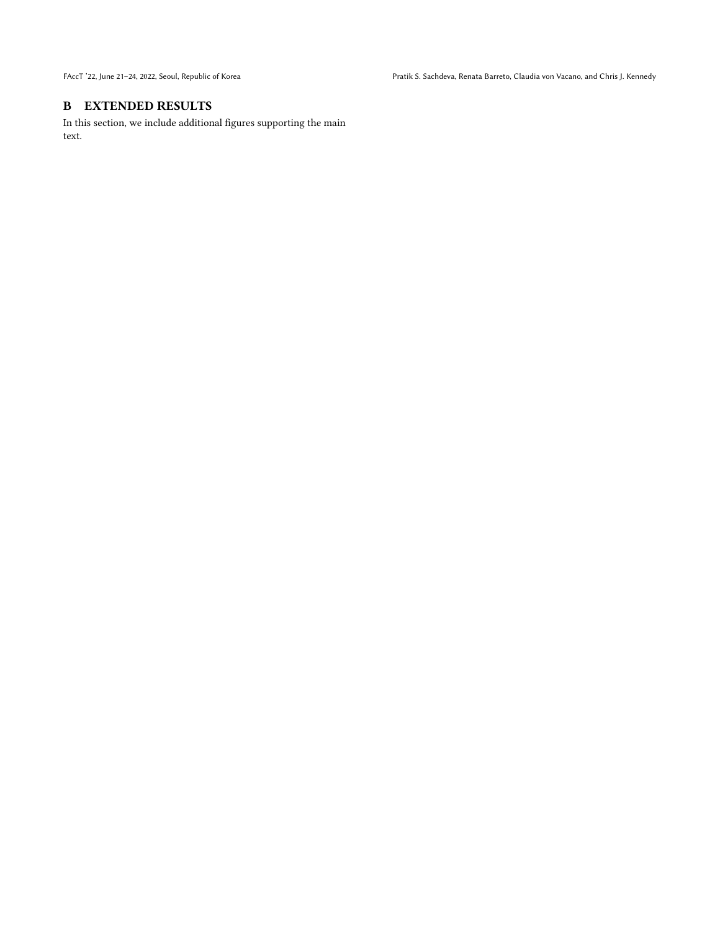# <span id="page-15-0"></span>B EXTENDED RESULTS

In this section, we include additional figures supporting the main text.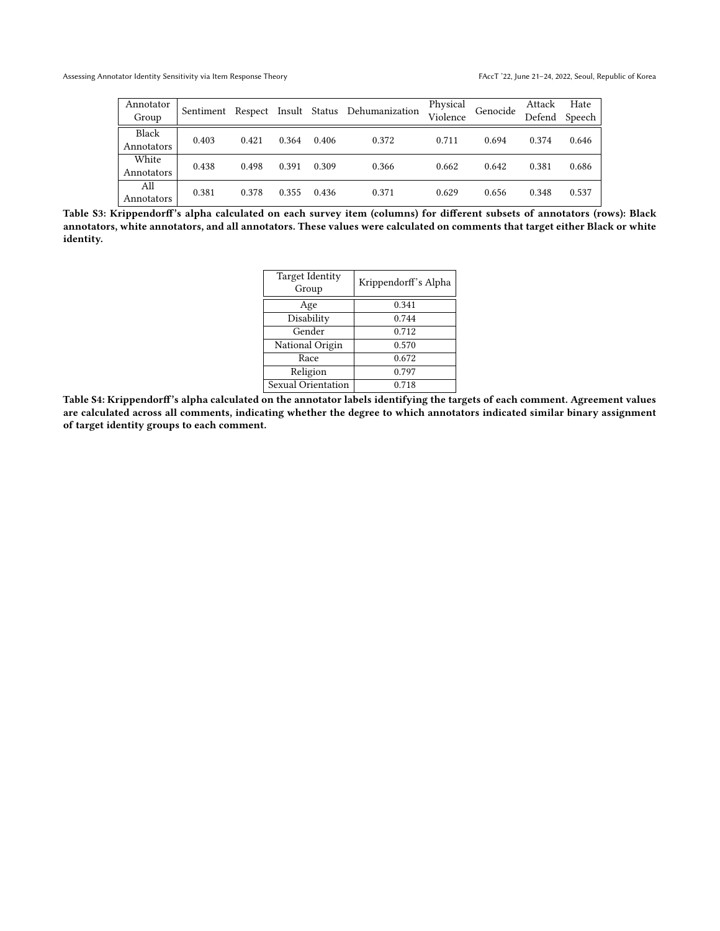<span id="page-16-0"></span>

| Annotator<br>Group  | Sentiment |       |       |       | Respect Insult Status Dehumanization | Physical<br>Violence | Genocide | Attack | Hate<br>Defend Speech |
|---------------------|-----------|-------|-------|-------|--------------------------------------|----------------------|----------|--------|-----------------------|
| Black<br>Annotators | 0.403     | 0.421 | 0.364 | 0.406 | 0.372                                | 0.711                | 0.694    | 0.374  | 0.646                 |
| White<br>Annotators | 0.438     | 0.498 | 0.391 | 0.309 | 0.366                                | 0.662                | 0.642    | 0.381  | 0.686                 |
| All<br>Annotators   | 0.381     | 0.378 | 0.355 | 0.436 | 0.371                                | 0.629                | 0.656    | 0.348  | 0.537                 |

<span id="page-16-1"></span>Table S3: Krippendorff's alpha calculated on each survey item (columns) for different subsets of annotators (rows): Black annotators, white annotators, and all annotators. These values were calculated on comments that target either Black or white identity.

| <b>Target Identity</b><br>Group | Krippendorff's Alpha |  |  |
|---------------------------------|----------------------|--|--|
| Age                             | 0.341                |  |  |
| Disability                      | 0.744                |  |  |
| Gender                          | 0.712                |  |  |
| National Origin                 | 0.570                |  |  |
| Race                            | 0.672                |  |  |
| Religion                        | 0.797                |  |  |
| Sexual Orientation              | 0.718                |  |  |

Table S4: Krippendorff's alpha calculated on the annotator labels identifying the targets of each comment. Agreement values are calculated across all comments, indicating whether the degree to which annotators indicated similar binary assignment of target identity groups to each comment.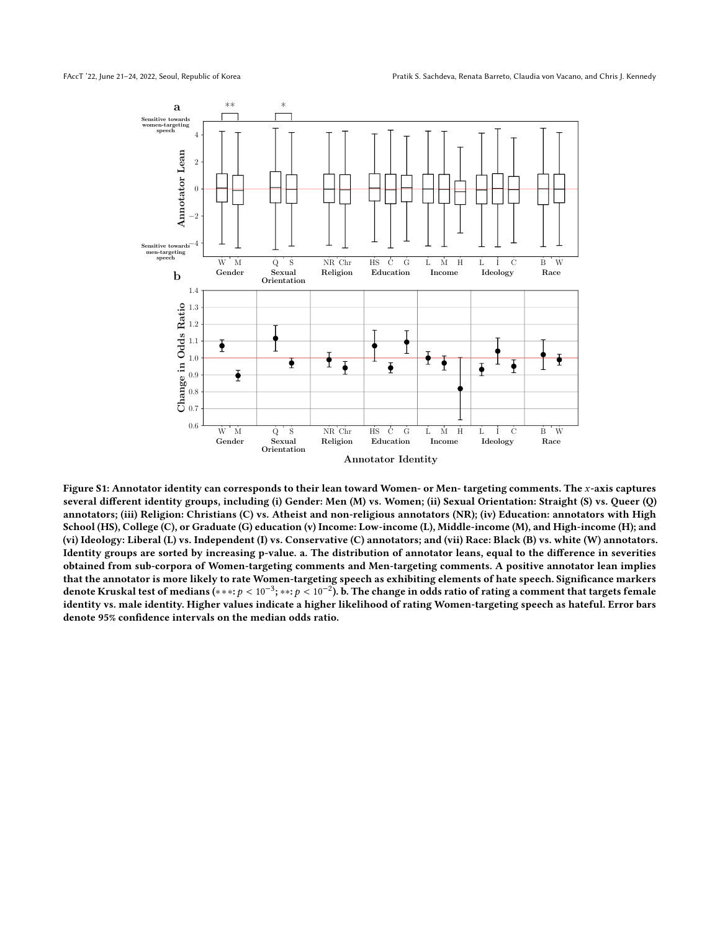<span id="page-17-0"></span>

Figure S1: Annotator identity can corresponds to their lean toward Women- or Men- targeting comments. The x-axis captures several different identity groups, including (i) Gender: Men (M) vs. Women; (ii) Sexual Orientation: Straight (S) vs. Queer (Q) annotators; (iii) Religion: Christians (C) vs. Atheist and non-religious annotators (NR); (iv) Education: annotators with High School (HS), College (C), or Graduate (G) education (v) Income: Low-income (L), Middle-income (M), and High-income (H); and (vi) Ideology: Liberal (L) vs. Independent (I) vs. Conservative (C) annotators; and (vii) Race: Black (B) vs. white (W) annotators. Identity groups are sorted by increasing p-value. a. The distribution of annotator leans, equal to the difference in severities obtained from sub-corpora of Women-targeting comments and Men-targeting comments. A positive annotator lean implies that the annotator is more likely to rate Women-targeting speech as exhibiting elements of hate speech. Significance markers denote Kruskal test of medians (\*\*\*: p <  $10^{-3}$ ; \*\*: p <  $10^{-2}$ ). b. The change in odds ratio of rating a comment that targets female<br>identity vs. male identity. Higher values indicate a higher likelihood of rating Wome identity vs. male identity. Higher values indicate a higher likelihood of rating Women-targeting speech as hateful. Error bars denote 95% confidence intervals on the median odds ratio.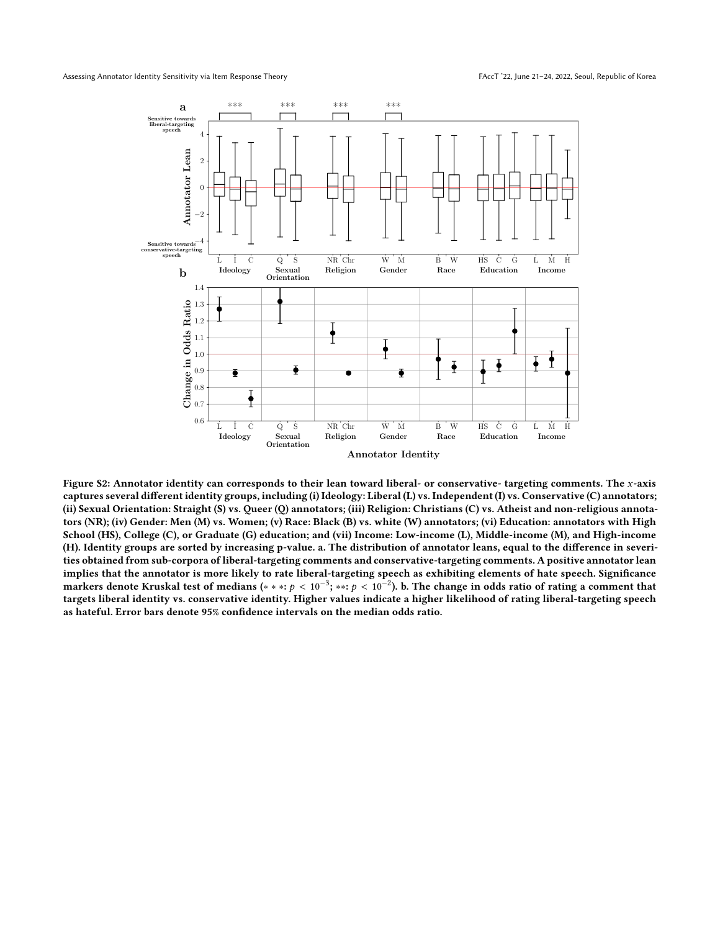<span id="page-18-0"></span>

Figure S2: Annotator identity can corresponds to their lean toward liberal- or conservative- targeting comments. The x-axis captures several different identity groups, including (i) Ideology: Liberal (L) vs. Independent (I) vs. Conservative (C) annotators; (ii) Sexual Orientation: Straight (S) vs. Queer (Q) annotators; (iii) Religion: Christians (C) vs. Atheist and non-religious annotators (NR); (iv) Gender: Men (M) vs. Women; (v) Race: Black (B) vs. white (W) annotators; (vi) Education: annotators with High School (HS), College (C), or Graduate (G) education; and (vii) Income: Low-income (L), Middle-income (M), and High-income (H). Identity groups are sorted by increasing p-value. a. The distribution of annotator leans, equal to the difference in severities obtained from sub-corpora of liberal-targeting comments and conservative-targeting comments. A positive annotator lean implies that the annotator is more likely to rate liberal-targeting speech as exhibiting elements of hate speech. Significance markers denote Kruskal test of medians (\* \* \*: p <  $10^{-3}$ ; \*\*: p <  $10^{-2}$ ). b. The change in odds ratio of rating a comment that targets liberal identity we conservative identity. Higher values indicate a higher likelih targets liberal identity vs. conservative identity. Higher values indicate a higher likelihood of rating liberal-targeting speech as hateful. Error bars denote 95% confidence intervals on the median odds ratio.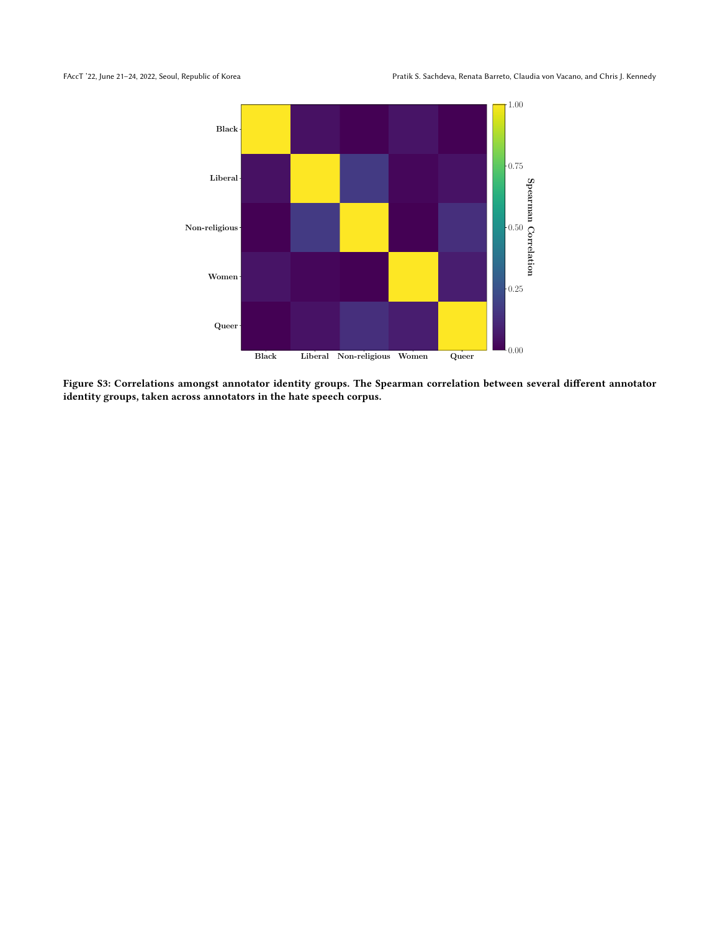<span id="page-19-0"></span>

Figure S3: Correlations amongst annotator identity groups. The Spearman correlation between several different annotator identity groups, taken across annotators in the hate speech corpus.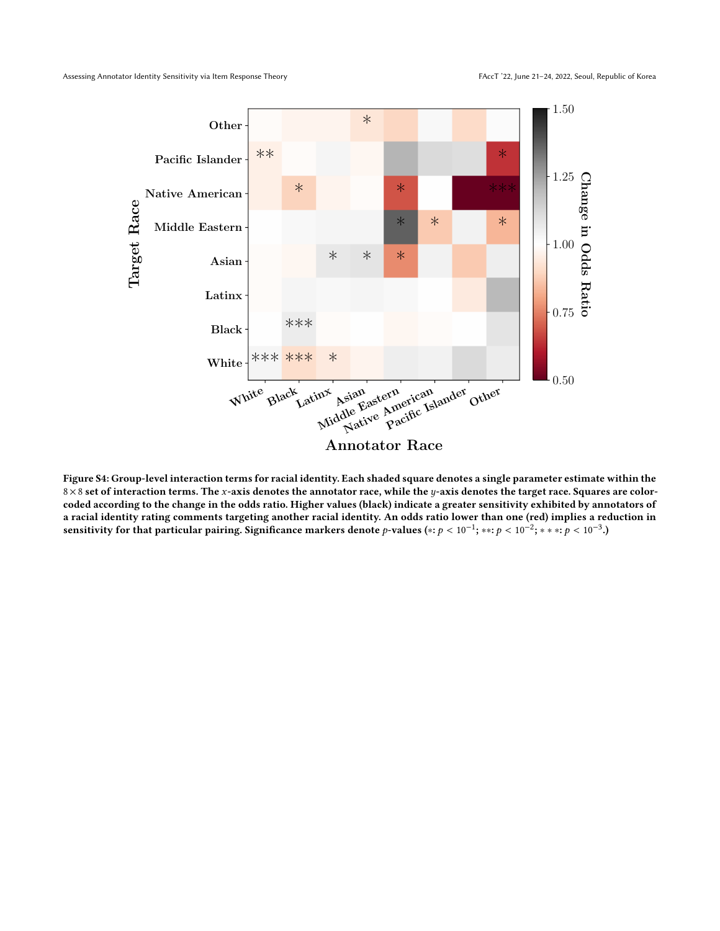<span id="page-20-0"></span>

Figure S4: Group-level interaction terms for racial identity. Each shaded square denotes a single parameter estimate within the  $8\times 8$  set of interaction terms. The x-axis denotes the annotator race, while the y-axis denotes the target race. Squares are colorcoded according to the change in the odds ratio. Higher values (black) indicate a greater sensitivity exhibited by annotators of a racial identity rating comments targeting another racial identity. An odds ratio lower than one (red) implies a reduction in sensitivity for that particular pairing. Significance markers denote p-values (\*:  $p < 10^{-1}$ ; \*\*:  $p < 10^{-2}$ ; \* \* \*:  $p < 10^{-3}$ .)